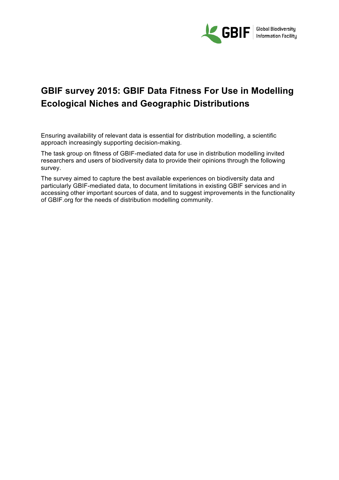

Ensuring availability of relevant data is essential for distribution modelling, a scientific approach increasingly supporting decision-making.

The task group on fitness of GBIF-mediated data for use in distribution modelling invited researchers and users of biodiversity data to provide their opinions through the following survey.

The survey aimed to capture the best available experiences on biodiversity data and particularly GBIF-mediated data, to document limitations in existing GBIF services and in accessing other important sources of data, and to suggest improvements in the functionality of GBIF.org for the needs of distribution modelling community.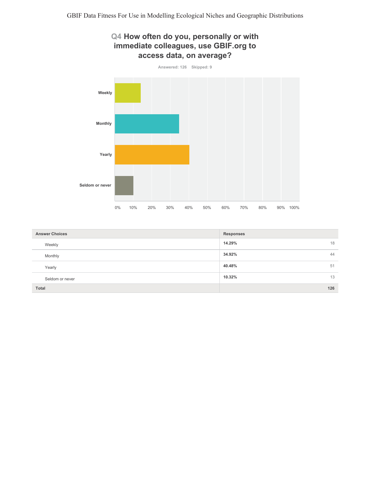## Q4 How often do you, personally or with immediate colleagues, use GBIF.org to access data, on average?



| <b>Answer Choices</b> | <b>Responses</b> |
|-----------------------|------------------|
| Weekly                | 14.29%<br>18     |
| Monthly               | 34.92%<br>44     |
| Yearly                | 40.48%<br>51     |
| Seldom or never       | 10.32%<br>13     |
| <b>Total</b>          | 126              |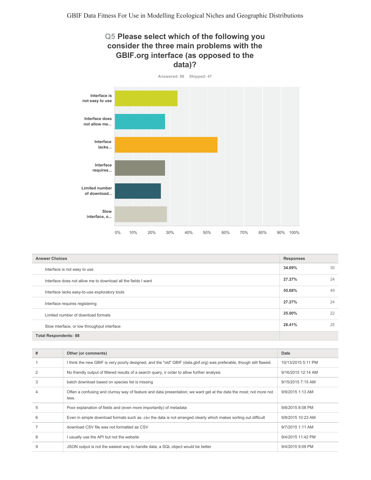## Q5 Please select which of the following you consider the three main problems with the GBIF.org interface (as opposed to the data)?



| <b>Answer Choices</b>                                         | <b>Responses</b> |    |
|---------------------------------------------------------------|------------------|----|
| Interface is not easy to use                                  | 34.09%           | 30 |
| Interface does not allow me to download all the fields I want | 27.27%           | 24 |
| Interface lacks easy-to-use exploratory tools                 | 55.68%           | 49 |
| Interface requires registering                                | 27.27%           | 24 |
| Limited number of download formats                            | 25.00%           | 22 |
| Slow interface, or low throughput interface                   | 28.41%           | 25 |
| <b>Total Respondents: 88</b>                                  |                  |    |

| # | Other (or comments)                                                                                                        | Date               |
|---|----------------------------------------------------------------------------------------------------------------------------|--------------------|
|   | l think the new GBIF is very poorly designed, and the "old" GBIF (data.gbif.org) was preferable, though still flawed.      | 10/13/2015 5:11 PM |
|   | No friendly output of filtered results of a search query, ir order to allow further analysis                               | 9/16/2015 12:14 AM |
| 3 | batch download based on species list is missing                                                                            | 9/15/2015 7:15 AM  |
|   | Often a confusing and clumsy way of feature and data presentation; we want get at the data the most; not more not<br>less. | 9/9/2015 1:13 AM   |
| 5 | Poor explanation of fields and (even more importantly) of metadata                                                         | 9/8/2015 8:08 PM   |
| 6 | Even in simple download formats such as .csv the data is not arranged clearly which makes sorting out difficult            | 9/8/2015 10:23 AM  |
|   | download CSV file was not formatted as CSV                                                                                 | 9/7/2015 1:11 AM   |
| 8 | usually use the API but not the website                                                                                    | 9/4/2015 11:42 PM  |
| 9 | JSON output is not the easiest way to handle data; a SQL object would be better                                            | 9/4/2015 9:09 PM   |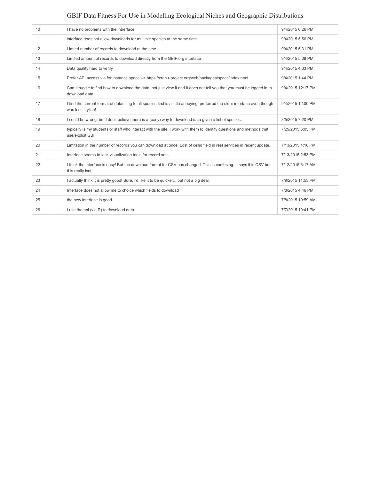| 10 | I have no problems with the intrerface.                                                                                                           | 9/4/2015 6:26 PM  |
|----|---------------------------------------------------------------------------------------------------------------------------------------------------|-------------------|
| 11 | interface does not allow downloads for multiple species at the same time                                                                          | 9/4/2015 5:56 PM  |
| 12 | Limted number of records to download at the time                                                                                                  | 9/4/2015 5:31 PM  |
| 13 | Limited amount of records to download directly from the GBIF.org interface                                                                        | 9/4/2015 5:09 PM  |
| 14 | Data quality hard to verify                                                                                                                       | 9/4/2015 4:33 PM  |
| 15 | Prefer API access via for instance spocc --> https://cran.r-project.org/web/packages/spocc/index.html                                             | 9/4/2015 1:44 PM  |
| 16 | Can struggle to find how to download the data, not just view it and it does not tell you that you must be logged in to<br>download data.          | 9/4/2015 12:17 PM |
| 17 | I find the current format of defaulting to all species first is a little annoying, preferred the older interface even though<br>was less stylish! | 9/4/2015 12:00 PM |
| 18 | I could be wrong, but I don't believe there is a (easy) way to download data given a list of species.                                             | 8/5/2015 7:20 PM  |
| 19 | typically is my students or staff who interact with the site; I work with them to identify questions and methods that<br>use/exploit GBIF         | 7/29/2015 6:05 PM |
| 20 | Limitation in the number of records you can download at once. Lost of cellid field in rest services in recent update.                             | 7/13/2015 4:18 PM |
| 21 | Interface seems to lack visualization tools for record sets                                                                                       | 7/13/2015 2:53 PM |
| 22 | I think the interface is easy! But the download format for CSV has changed. This is confusing. It says it is CSV but<br>tt is really isnt         | 7/12/2015 6:17 AM |
| 23 | I actually think it is pretty good! Sure, I'd like it to be quicker but not a big deal.                                                           | 7/9/2015 11:53 PM |
| 24 | Interface does not allow me to choice which fields to download                                                                                    | 7/8/2015 4:46 PM  |
| 25 | the new interface is good                                                                                                                         | 7/8/2015 10:59 AM |
| 26 | I use the api (via R) to download data                                                                                                            | 7/7/2015 10:41 PM |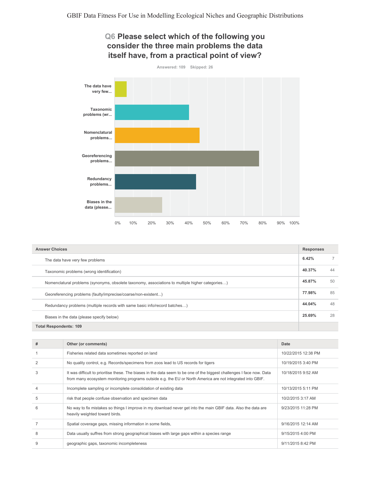## Q6 Please select which of the following you consider the three main problems the data itself have, from a practical point of view?



| <b>Answer Choices</b>                                                                            |        |    |
|--------------------------------------------------------------------------------------------------|--------|----|
| The data have very few problems                                                                  | 6.42%  |    |
| Taxonomic problems (wrong identification)                                                        | 40.37% | 44 |
| Nomenclatural problems (synonyms, obsolete taxonomy, associations to multiple higher categories) | 45.87% | 50 |
| Georeferencing problems (faulty/imprecise/coarse/non-existent)                                   | 77.98% | 85 |
| Redundancy problems (multiple records with same basic info/record batches)                       | 44.04% | 48 |
| Biases in the data (please specify below)                                                        | 25.69% | 28 |
| <b>Total Respondents: 109</b>                                                                    |        |    |

| # | Other (or comments)                                                                                                                                                                                                                  | Date                |
|---|--------------------------------------------------------------------------------------------------------------------------------------------------------------------------------------------------------------------------------------|---------------------|
|   | Fisheries related data sometimes reported on land                                                                                                                                                                                    | 10/22/2015 12:38 PM |
|   | No quality control, e.g. Records/specimens from zoos lead to US records for tigers                                                                                                                                                   | 10/19/2015 3:40 PM  |
| 3 | It was difficult to prioritise these. The biases in the data seem to be one of the biggest challenges I face now. Data<br>from many ecosystem monitoring programs outside e.g. the EU or North America are not integrated into GBIF. | 10/18/2015 9:52 AM  |
|   | Incomplete sampling or incomplete consolidation of existing data                                                                                                                                                                     | 10/13/2015 5:11 PM  |
| 5 | risk that people confuse observation and specimen data                                                                                                                                                                               | 10/2/2015 3:17 AM   |
| 6 | No way to fix mistakes so things I improve in my download never get into the main GBIF data. Also the data are<br>heavily weighted toward birds.                                                                                     | 9/23/2015 11:28 PM  |
|   | Spatial coverage gaps, missing information in some fields,                                                                                                                                                                           | 9/16/2015 12:14 AM  |
| 8 | Data usually suffres from strong geographical biases with large gaps within a species range                                                                                                                                          | 9/15/2015 4:00 PM   |
|   | geographic gaps, taxonomic incompleteness                                                                                                                                                                                            | 9/11/2015 8:42 PM   |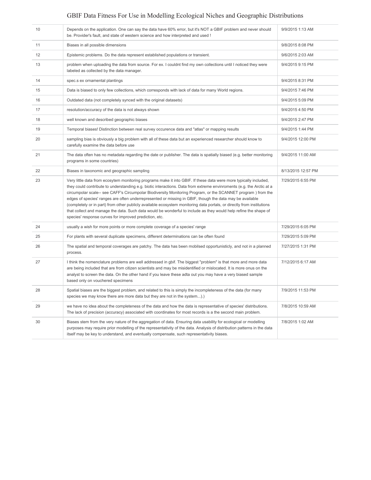| 10 | Depends on the application. One can say the data have 60% error, but it's NOT a GBIF problem and never should<br>be. Provider's fault, and state of western science and how interpreted and used !                                                                                                                                                                                                                                                                                                                                                                                                                                                                                                                                                                             | 9/9/2015 1:13 AM   |
|----|--------------------------------------------------------------------------------------------------------------------------------------------------------------------------------------------------------------------------------------------------------------------------------------------------------------------------------------------------------------------------------------------------------------------------------------------------------------------------------------------------------------------------------------------------------------------------------------------------------------------------------------------------------------------------------------------------------------------------------------------------------------------------------|--------------------|
| 11 | Biases in all possible dimensions                                                                                                                                                                                                                                                                                                                                                                                                                                                                                                                                                                                                                                                                                                                                              | 9/8/2015 8:08 PM   |
| 12 | Epistemic problems. Do the data represent established populations or transient.                                                                                                                                                                                                                                                                                                                                                                                                                                                                                                                                                                                                                                                                                                | 9/6/2015 2:03 AM   |
| 13 | problem when uploading the data from source. For ex. I couldnt find my own collections until I noticed they were<br>labeled as collected by the data manager.                                                                                                                                                                                                                                                                                                                                                                                                                                                                                                                                                                                                                  | 9/4/2015 9:15 PM   |
| 14 | spec.s ex ornamental plantings                                                                                                                                                                                                                                                                                                                                                                                                                                                                                                                                                                                                                                                                                                                                                 | 9/4/2015 8:31 PM   |
| 15 | Data is biased to only few collections, which corresponds with lack of data for many World regions.                                                                                                                                                                                                                                                                                                                                                                                                                                                                                                                                                                                                                                                                            | 9/4/2015 7:46 PM   |
| 16 | Outdated data (not completely synced with the original datasets)                                                                                                                                                                                                                                                                                                                                                                                                                                                                                                                                                                                                                                                                                                               | 9/4/2015 5:09 PM   |
| 17 | resolution/accuracy of the data is not always shown                                                                                                                                                                                                                                                                                                                                                                                                                                                                                                                                                                                                                                                                                                                            | 9/4/2015 4:50 PM   |
| 18 | well known and described geographic biases                                                                                                                                                                                                                                                                                                                                                                                                                                                                                                                                                                                                                                                                                                                                     | 9/4/2015 2:47 PM   |
| 19 | Temporal biases! Distinction between real survey occurence data and "atlas" or mapping results                                                                                                                                                                                                                                                                                                                                                                                                                                                                                                                                                                                                                                                                                 | 9/4/2015 1:44 PM   |
| 20 | sampling bias is obviously a big problem with all of these data but an experienced researcher should know to<br>carefully examine the data before use                                                                                                                                                                                                                                                                                                                                                                                                                                                                                                                                                                                                                          | 9/4/2015 12:00 PM  |
| 21 | The data often has no metadata regarding the date or publisher. The data is spatially biased (e.g. better monitoring<br>programs in some countries)                                                                                                                                                                                                                                                                                                                                                                                                                                                                                                                                                                                                                            | 9/4/2015 11:00 AM  |
| 22 | Biases in taxonomic and geographic sampling                                                                                                                                                                                                                                                                                                                                                                                                                                                                                                                                                                                                                                                                                                                                    | 8/13/2015 12:57 PM |
| 23 | Very little data from ecosytem monitoring programs make it into GBIF. If these data were more typically included,<br>they could contribute to understanding e.g. biotic interactions. Data from extreme envinroments (e.g. the Arctic at a<br>circumpolar scale-- see CAFF's Circumpolar Biodiversity Monitoring Program, or the SCANNET program) from the<br>edges of species' ranges are often underrepresented or missing in GBIF, though the data may be available<br>(completely or in part) from other publicly available ecosystem monitoring data portals, or directly from institutions<br>that collect and manage the data. Such data would be wonderful to include as they would help refine the shape of<br>species' response curves for improved prediction, etc. | 7/29/2015 6:55 PM  |
| 24 | usually a wish for more points or more complete coverage of a species' range                                                                                                                                                                                                                                                                                                                                                                                                                                                                                                                                                                                                                                                                                                   | 7/29/2015 6:05 PM  |
| 25 | For plants with several duplicate specimens, different determinations can be often found                                                                                                                                                                                                                                                                                                                                                                                                                                                                                                                                                                                                                                                                                       | 7/29/2015 5:09 PM  |
| 26 | The spatial and temporal coverages are patchy. The data has been mobilsed opportunisticly, and not in a planned<br>process.                                                                                                                                                                                                                                                                                                                                                                                                                                                                                                                                                                                                                                                    | 7/27/2015 1:31 PM  |
| 27 | I think the nomenclature problems are well addressed in gbif. The biggest "problem" is that more and more data<br>are being included that are from citizen scientists and may be misidentified or mislocated. It is more onus on the<br>analyst to screen the data. On the other hand if you leave these adta out you may have a very biased sample<br>based only on vouchered specimens                                                                                                                                                                                                                                                                                                                                                                                       | 7/12/2015 6:17 AM  |
| 28 | Spatial biases are the biggest problem, and related to this is simply the incompleteness of the data (for many<br>species we may know there are more data but they are not in the system).                                                                                                                                                                                                                                                                                                                                                                                                                                                                                                                                                                                     | 7/9/2015 11:53 PM  |
| 29 | we have no idea about the completeness of the data and how the data is representative of species' distributions.<br>The lack of precision (accuracy) associated with coordinates for most records is a the second main problem.                                                                                                                                                                                                                                                                                                                                                                                                                                                                                                                                                | 7/8/2015 10:59 AM  |
| 30 | Biases stem from the very nature of the aggregation of data. Ensuring data usability for ecological or modelling<br>purposes may require prior modelling of the representativity of the data. Analysis of distribution patterns in the data<br>itself may be key to understand, and eventually compensate, such representativity biases.                                                                                                                                                                                                                                                                                                                                                                                                                                       | 7/8/2015 1:02 AM   |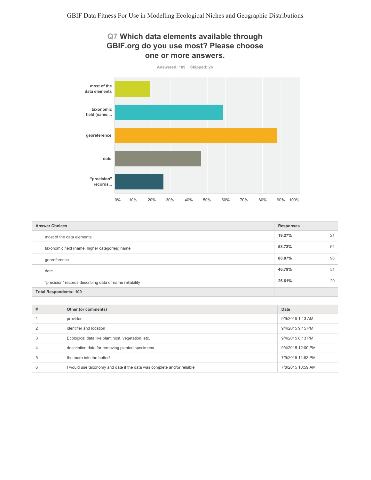



| <b>Answer Choices</b>                                   | <b>Responses</b> |    |
|---------------------------------------------------------|------------------|----|
| most of the data elements                               | 19.27%           | 21 |
| taxonomic field (name, higher categories) name          | 58.72%           | 64 |
| georeference                                            | 88.07%           | 96 |
| date                                                    | 46.79%           | 51 |
| "precision" records describing data or name reliability | 26.61%           | 29 |
| <b>Total Respondents: 109</b>                           |                  |    |

| # | Other (or comments)                                                    | Date              |
|---|------------------------------------------------------------------------|-------------------|
|   | provider                                                               | 9/9/2015 1:13 AM  |
|   | identifier and location                                                | 9/4/2015 9:15 PM  |
|   | Ecological data like plant host, vegetation, etc.                      | 9/4/2015 8:13 PM  |
| 4 | description data for removing planted specimens                        | 9/4/2015 12:00 PM |
| 5 | the more info the better!                                              | 7/9/2015 11:53 PM |
| 6 | I would use taxonomy and date if the data was complete and/or reliable | 7/8/2015 10:59 AM |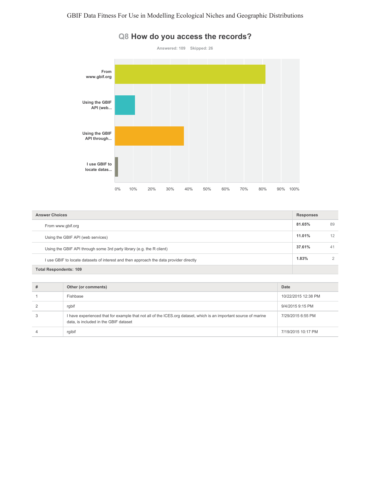

#### Q8 How do you access the records?

| <b>Answer Choices</b>                                                                  |        |    |
|----------------------------------------------------------------------------------------|--------|----|
| From www.gbif.org                                                                      | 81.65% | 89 |
| Using the GBIF API (web services)                                                      | 11.01% | 12 |
| Using the GBIF API through some 3rd party library (e.g. the R client)                  | 37.61% | 41 |
| I use GBIF to locate datasets of interest and then approach the data provider directly | 1.83%  |    |
| Total Respondents: 109                                                                 |        |    |

#### $\#$ Other (or comments) Date  $\overline{1}$ Fishbase 10/22/2015 12:38 PM  $\overline{c}$ rgbif 9/4/2015 9:15 PM  $\mathbf{3}$ I have experienced that for example that not all of the ICES.org dataset, which is an important source of marine 7/29/2015 6:55 PM data, is included in the GBIF dataset  $\overline{4}$ rgibif 7/19/2015 10:17 PM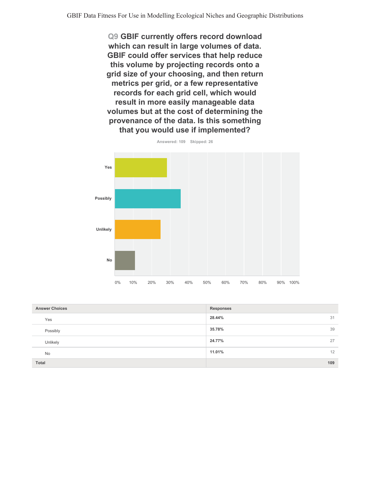Q9 GBIF currently offers record download which can result in large volumes of data. GBIF could offer services that help reduce this volume by projecting records onto a grid size of your choosing, and then return metrics per grid, or a few representative records for each grid cell, which would result in more easily manageable data volumes but at the cost of determining the provenance of the data. Is this something that you would use if implemented?



| <b>Answer Choices</b> | <b>Responses</b> |
|-----------------------|------------------|
| Yes                   | 28.44%<br>31     |
| Possibly              | 39<br>35.78%     |
| Unlikely              | 27<br>24.77%     |
| No                    | 12<br>11.01%     |
| Total                 | 109              |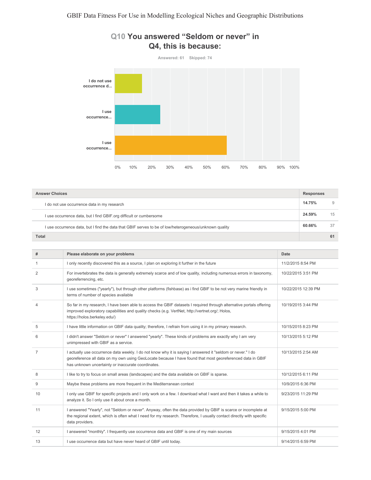

## Q10 You answered "Seldom or never" in Q4, this is because:

| <b>Answer Choices</b>                                                                                  |        | <b>Responses</b> |  |
|--------------------------------------------------------------------------------------------------------|--------|------------------|--|
| I do not use occurrence data in my research                                                            | 14.75% | 9                |  |
| I use occurrence data, but I find GBIF.org difficult or cumbersome                                     | 24.59% | 15               |  |
| I use occurrence data, but I find the data that GBIF serves to be of low/heterogeneous/unknown quality | 60.66% | 37               |  |
| Total                                                                                                  |        | 61               |  |

| #              | Please elaborate on your problems                                                                                                                                                                                                                                              | Date                |
|----------------|--------------------------------------------------------------------------------------------------------------------------------------------------------------------------------------------------------------------------------------------------------------------------------|---------------------|
|                | I only recently discovered this as a source, I plan on exploring it further in the future                                                                                                                                                                                      | 11/2/2015 8:54 PM   |
| $\overline{2}$ | For invertebrates the data is generally extremely scarce and of low quality, including numerous errors in taxonomy,<br>georeferrencing, etc.                                                                                                                                   | 10/22/2015 3:51 PM  |
| 3              | I use sometimes ("yearly"), but through other platforms (fishbase) as i find GBIF to be not very marine friendly in<br>terms of number of species available                                                                                                                    | 10/22/2015 12:39 PM |
| 4              | So far in my research, I have been able to access the GBIF datasets I required through alternative portals offering<br>improved exploratory capabilities and quality checks (e.g. VertNet, http://vertnet.org/; Holos,<br>https://holos.berkeley.edu/)                         | 10/19/2015 3:44 PM  |
| 5              | I have little information on GBIF data quality; therefore, I refrain from using it in my primary research.                                                                                                                                                                     | 10/15/2015 8:23 PM  |
| 6              | I didn't answer "Seldom or never" I answered "yearly". These kinds of problems are exactly why I am very<br>unimpressed with GBIF as a service.                                                                                                                                | 10/13/2015 5:12 PM  |
| 7              | I actually use occurrence data weekly. I do not know why it is saying I answered it "seldom or never." I do<br>georeference all data on my own using GeoLocate because I have found that most georeferenced data in GBIF<br>has unknown uncertainty or inaccurate coordinates. | 10/13/2015 2:54 AM  |
| 8              | I like to try to focus on small areas (landscapes) and the data available on GBIF is sparse.                                                                                                                                                                                   | 10/12/2015 6:11 PM  |
| 9              | Maybe these problems are more frequent in the Mediterranean context                                                                                                                                                                                                            | 10/9/2015 6:36 PM   |
| 10             | I only use GBIF for specific projects and I only work on a few. I download what I want and then it takes a while to<br>analyze it. So I only use it about once a month.                                                                                                        | 9/23/2015 11:29 PM  |
| 11             | I answered "Yearly", not "Seldom or never". Anyway, often the data provided by GBIF is scarce or incomplete at<br>the regional extent, which is often what I need for my research. Therefore, I usually contact directly with specific<br>data providers.                      | 9/15/2015 5:00 PM   |
| 12             | I answered "monthly". I frequently use occurrence data and GBIF is one of my main sources                                                                                                                                                                                      | 9/15/2015 4:01 PM   |
| 13             | I use occurrence data but have never heard of GBIF until today.                                                                                                                                                                                                                | 9/14/2015 6:59 PM   |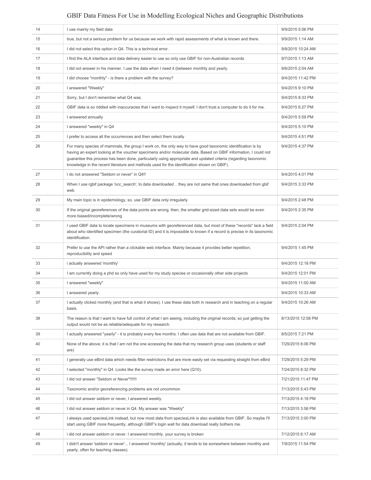| 14 | I use mainly my field data                                                                                                                                                                                                                                                                                                                                                                                                                    | 9/9/2015 5:06 PM   |
|----|-----------------------------------------------------------------------------------------------------------------------------------------------------------------------------------------------------------------------------------------------------------------------------------------------------------------------------------------------------------------------------------------------------------------------------------------------|--------------------|
| 15 | true, but not a serious problem for us because we work with rapid assessments of what is known and there.                                                                                                                                                                                                                                                                                                                                     | 9/9/2015 1:14 AM   |
| 16 | I did not select this option in Q4. This is a technical error.                                                                                                                                                                                                                                                                                                                                                                                | 9/8/2015 10:24 AM  |
| 17 | I find the ALA interface and data delivery easier to use so only use GBIF for non-Australian records                                                                                                                                                                                                                                                                                                                                          | 9/7/2015 1:13 AM   |
| 18 | I did not answer in his manner. I use the data when I need it (between monthly and yearly.                                                                                                                                                                                                                                                                                                                                                    | 9/6/2015 2:04 AM   |
| 19 | I did choose "monthly" - is there a problem with the survey?                                                                                                                                                                                                                                                                                                                                                                                  | 9/4/2015 11:42 PM  |
| 20 | I answered "Weekly"                                                                                                                                                                                                                                                                                                                                                                                                                           | 9/4/2015 9:10 PM   |
| 21 | Sorry, but I don't remember what Q4 was.                                                                                                                                                                                                                                                                                                                                                                                                      | 9/4/2015 8:33 PM   |
| 22 | GBIF data is so riddled with inaccuracies that I want to inspect it myself. I don't trust a computer to do it for me.                                                                                                                                                                                                                                                                                                                         | 9/4/2015 6:27 PM   |
| 23 | I answered annually                                                                                                                                                                                                                                                                                                                                                                                                                           | 9/4/2015 5:59 PM   |
| 24 | I answered "weekly" in Q4                                                                                                                                                                                                                                                                                                                                                                                                                     | 9/4/2015 5:10 PM   |
| 25 | I prefer to access all the occurrences and then select them locally                                                                                                                                                                                                                                                                                                                                                                           | 9/4/2015 4:51 PM   |
| 26 | For many species of mammals, the group I work on, the only way to have good taxonomic identification is by<br>having an expert looking at the voucher specimens and/or molecular data. Based on GBIF information, I could not<br>guarantee this process has been done, particularly using appropriate and updated criteria (regarding taxonomic<br>knowledge in the recent literature and methods used for the identification shown on GBIF). | 9/4/2015 4:37 PM   |
| 27 | I do not answered "Seldom or never" in Q4!!                                                                                                                                                                                                                                                                                                                                                                                                   | 9/4/2015 4:01 PM   |
| 28 | When I use rgbif package 'occ_search', to data downloaded  they are not same that ones downloaded from gbif<br>web.                                                                                                                                                                                                                                                                                                                           | 9/4/2015 3:33 PM   |
| 29 | My main topic is in epidemiology, so, use GBIF data only irregularly                                                                                                                                                                                                                                                                                                                                                                          | 9/4/2015 2:48 PM   |
| 30 | If the original georeferences of the data points are wrong, then, the smaller grid-sized data sets would be even<br>more biased/incomplete/wrong                                                                                                                                                                                                                                                                                              | 9/4/2015 2:35 PM   |
| 31 | I used GBIF data to locate specimens in museums with georeferenced data, but most of these "records" lack a field<br>about who identified specimen (the curatorial ID) and it is impossible to known if a record is precise in its taxonomic<br>identification.                                                                                                                                                                               | 9/4/2015 2:04 PM   |
| 32 | Prefer to use the API rather than a clickable web interface. Mainly because it provides better repetition,<br>reproducibility and speed                                                                                                                                                                                                                                                                                                       | 9/4/2015 1:45 PM   |
| 33 | i actually answered 'monthly'                                                                                                                                                                                                                                                                                                                                                                                                                 | 9/4/2015 12:18 PM  |
| 34 | I am currently doing a phd so only have used for my study species or occasionally other side projects                                                                                                                                                                                                                                                                                                                                         | 9/4/2015 12:01 PM  |
| 35 | I answered "weekly"                                                                                                                                                                                                                                                                                                                                                                                                                           | 9/4/2015 11:00 AM  |
| 36 | I answered yearly.                                                                                                                                                                                                                                                                                                                                                                                                                            | 9/4/2015 10:33 AM  |
| 37 | I actually clicked monthly (and that is what it shows). I use these data both in research and in teaching on a regular<br>basis.                                                                                                                                                                                                                                                                                                              | 9/4/2015 10:26 AM  |
| 38 | The reason is that I want to have full control of what I am seeing, including the original records; so just getting the<br>output would not be as reliable/adequate for my research.                                                                                                                                                                                                                                                          | 8/13/2015 12:58 PM |
| 39 | I actually answered "yearly" - it is probably every few months. I often use data that are not available from GBIF.                                                                                                                                                                                                                                                                                                                            | 8/5/2015 7:21 PM   |
| 40 | None of the above; it is that I am not the one accessing the data that my research group uses (students or staff<br>are)                                                                                                                                                                                                                                                                                                                      | 7/29/2015 6:06 PM  |
| 41 | I generally use eBird data which needs filter restrictions that are more easily set via requesting straight from eBird                                                                                                                                                                                                                                                                                                                        | 7/29/2015 5:29 PM  |
| 42 | I selected "monthly" in Q4. Looks like the survey made an error here (Q10).                                                                                                                                                                                                                                                                                                                                                                   | 7/24/2015 8:32 PM  |
| 43 | I did not answer "Seldom or Never"!!!!!!                                                                                                                                                                                                                                                                                                                                                                                                      | 7/21/2015 11:47 PM |
| 44 | Taxonomic and/or georeferencing problems are not uncommon                                                                                                                                                                                                                                                                                                                                                                                     | 7/13/2015 5:43 PM  |
| 45 | I did not answer seldom or never, I answered weekly.                                                                                                                                                                                                                                                                                                                                                                                          | 7/13/2015 4:18 PM  |
| 46 | I did not answer seldom or never in Q4. My answer was "Weekly"                                                                                                                                                                                                                                                                                                                                                                                | 7/13/2015 3:58 PM  |
| 47 | I always used speciesLink instead, but now most data from speciesLink is also available from GBIF. So maybe I'll<br>start using GBIF more frequently, although GBIF's login wall for data download really bothers me.                                                                                                                                                                                                                         | 7/13/2015 3:00 PM  |
| 48 | i did not answer seldom or never. I answered monthly, your survey is broken                                                                                                                                                                                                                                                                                                                                                                   | 7/12/2015 6:17 AM  |
| 49 | I didn't answer 'seldom or never' I answered 'monthly' (actually, it tends to be somewhere between monthly and<br>yearly, often for teaching classes).                                                                                                                                                                                                                                                                                        | 7/9/2015 11:54 PM  |
|    |                                                                                                                                                                                                                                                                                                                                                                                                                                               |                    |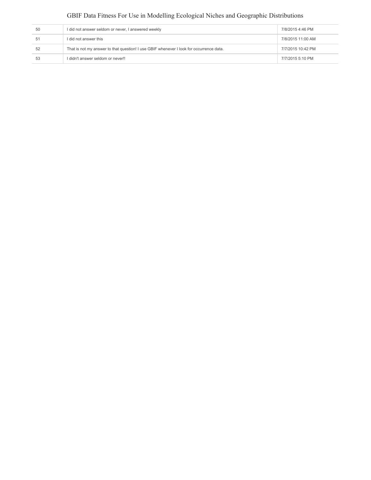| 50  | I did not answer seldom or never, I answered weekly                                     | 7/8/2015 4:46 PM  |
|-----|-----------------------------------------------------------------------------------------|-------------------|
| -51 | I did not answer this                                                                   | 7/8/2015 11:00 AM |
| 52  | That is not my answer to that question! I use GBIF whenever I look for occurrence data. | 7/7/2015 10:42 PM |
| 53  | I didn't answer seldom or never!!                                                       | 7/7/2015 5:10 PM  |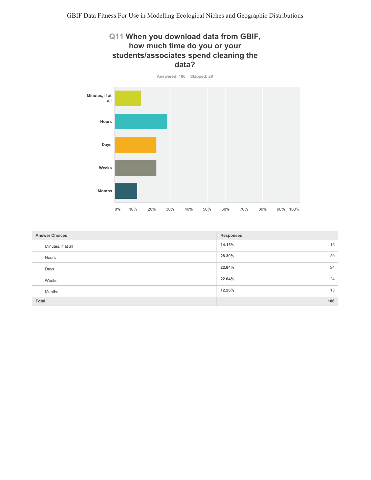## Q11 When you download data from GBIF, how much time do you or your students/associates spend cleaning the data?



| <b>Answer Choices</b> | <b>Responses</b> |
|-----------------------|------------------|
| Minutes, if at all    | 14.15%<br>15     |
| Hours                 | 30<br>28.30%     |
| Days                  | 24<br>22.64%     |
| Weeks                 | 24<br>22.64%     |
| Months                | 12.26%<br>13     |
| Total                 | 106              |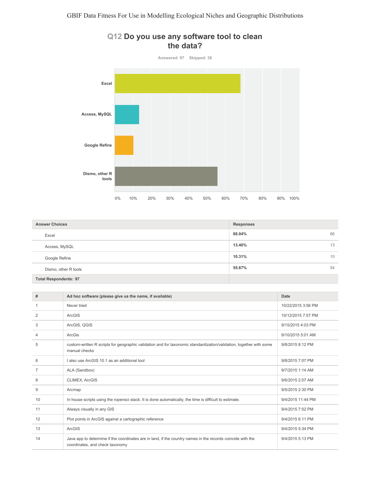

#### Q12 Do you use any software tool to clean the data?

| <b>Answer Choices</b>        | <b>Responses</b> |
|------------------------------|------------------|
| Excel                        | 68.04%<br>66     |
| Access, MySQL                | 13.40%<br>13     |
| Google Refine                | 10.31%<br>10     |
| Dismo, other R tools         | 55.67%<br>54     |
| <b>Total Respondents: 97</b> |                  |

| #              | Ad hoc software (please give us the name, if available)                                                                                        | <b>Date</b>        |
|----------------|------------------------------------------------------------------------------------------------------------------------------------------------|--------------------|
| $\mathbf{1}$   | Never tried                                                                                                                                    | 10/22/2015 3:56 PM |
| 2              | ArcGIS                                                                                                                                         | 10/12/2015 7:57 PM |
| 3              | ArcGIS, QGIS                                                                                                                                   | 9/15/2015 4:03 PM  |
| 4              | ArcGis                                                                                                                                         | 9/10/2015 5:01 AM  |
| 5              | custom-written R scripts for geographic validation and for taxonomic standardization/validation, together with some<br>manual checks           | 9/8/2015 8:12 PM   |
| 6              | I also use ArcGIS 10.1 as an additional tool                                                                                                   | 9/8/2015 7:07 PM   |
| $\overline{7}$ | ALA (Sandbox)                                                                                                                                  | 9/7/2015 1:14 AM   |
| 8              | CLIMEX, ArcGIS                                                                                                                                 | 9/6/2015 2:07 AM   |
| 9              | Arcmap                                                                                                                                         | 9/5/2015 2:30 PM   |
| 10             | In house scripts using the ropensci stack. It is done automatically, the time is difficult to estimate.                                        | 9/4/2015 11:44 PM  |
| 11             | Always visually in any GIS                                                                                                                     | 9/4/2015 7:52 PM   |
| 12             | Plot points in ArcGIS against a cartographic reference                                                                                         | 9/4/2015 6:11 PM   |
| 13             | ArcGIS                                                                                                                                         | 9/4/2015 5:34 PM   |
| 14             | Java app to determine if the coordinates are in land, if the country names in the records coincide with the<br>coordinates, and check taxonomy | 9/4/2015 5:13 PM   |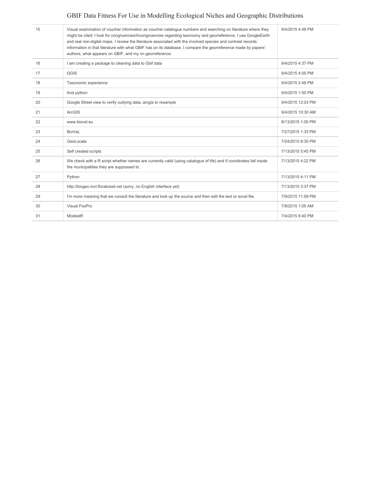| 15 | Visual examination of voucher information as voucher catalogue numbers and searching on literature where they<br>might be cited; I look for congruencies/incongruencies regarding taxonomy and georreference. I use GoogleEarth<br>and real non-digital maps. I review the literature associated with the involved species and contrast records<br>information in that literature with what GBIF has on its database. I compare the georreference made by papers'<br>authors, what appears on GBIF, and my on georreference. | 9/4/2015 4:48 PM  |
|----|------------------------------------------------------------------------------------------------------------------------------------------------------------------------------------------------------------------------------------------------------------------------------------------------------------------------------------------------------------------------------------------------------------------------------------------------------------------------------------------------------------------------------|-------------------|
| 16 | I am creating a package to cleaning data to Gbif data                                                                                                                                                                                                                                                                                                                                                                                                                                                                        | 9/4/2015 4:37 PM  |
| 17 | QGIS                                                                                                                                                                                                                                                                                                                                                                                                                                                                                                                         | 9/4/2015 4:05 PM  |
| 18 | Taxonomic experience                                                                                                                                                                                                                                                                                                                                                                                                                                                                                                         | 9/4/2015 2:48 PM  |
| 19 | And python                                                                                                                                                                                                                                                                                                                                                                                                                                                                                                                   | 9/4/2015 1:50 PM  |
| 20 | Google Street view to verify outlying data, arcgis to resample                                                                                                                                                                                                                                                                                                                                                                                                                                                               | 9/4/2015 12:03 PM |
| 21 | ArcGIS                                                                                                                                                                                                                                                                                                                                                                                                                                                                                                                       | 9/4/2015 10:30 AM |
| 22 | www.biovel.eu                                                                                                                                                                                                                                                                                                                                                                                                                                                                                                                | 8/13/2015 1:00 PM |
| 23 | <b>BioVeL</b>                                                                                                                                                                                                                                                                                                                                                                                                                                                                                                                | 7/27/2015 1:33 PM |
| 24 | GeoLocate                                                                                                                                                                                                                                                                                                                                                                                                                                                                                                                    | 7/24/2015 8:35 PM |
| 25 | Self created scripts                                                                                                                                                                                                                                                                                                                                                                                                                                                                                                         | 7/13/2015 5:45 PM |
| 26 | We check with a R script whether names are currently valid (using catalogue of life) and if coordinates fall inside<br>the municipalities they are suppossed to.                                                                                                                                                                                                                                                                                                                                                             | 7/13/2015 4:22 PM |
| 27 | Python                                                                                                                                                                                                                                                                                                                                                                                                                                                                                                                       | 7/13/2015 4:11 PM |
| 28 | http://biogeo.inct.florabrasil.net (sorry, no English interface yet)                                                                                                                                                                                                                                                                                                                                                                                                                                                         | 7/13/2015 3:37 PM |
| 29 | I'm more meaning that we consult the literature and look up the source and then edit the text or excel file.                                                                                                                                                                                                                                                                                                                                                                                                                 | 7/9/2015 11:59 PM |
| 30 | Visual FoxPro                                                                                                                                                                                                                                                                                                                                                                                                                                                                                                                | 7/8/2015 1:05 AM  |
| 31 | ModestR                                                                                                                                                                                                                                                                                                                                                                                                                                                                                                                      | 7/4/2015 6:40 PM  |
|    |                                                                                                                                                                                                                                                                                                                                                                                                                                                                                                                              |                   |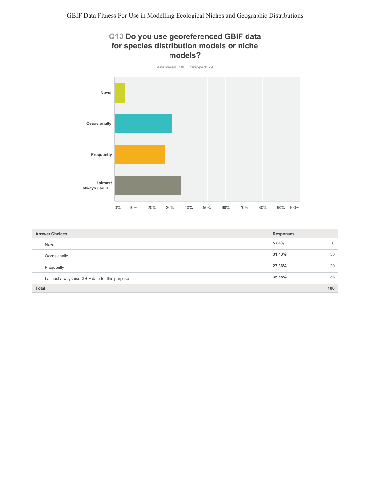## Q13 Do you use georeferenced GBIF data for species distribution models or niche models?



| <b>Answer Choices</b>                          | Responses |     |
|------------------------------------------------|-----------|-----|
| Never                                          | 5.66%     | 6   |
| Occasionally                                   | 31.13%    | 33  |
| Frequently                                     | 27.36%    | 29  |
| I almost always use GBIF data for this purpose | 35.85%    | 38  |
| <b>Total</b>                                   |           | 106 |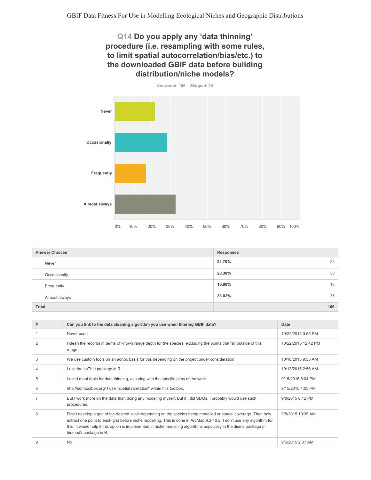#### Q14 Do you apply any 'data thinning' procedure (i.e. resampling with some rules, to limit spatial autocorrelation/bias/etc.) to the downloaded GBIF data before building distribution/niche models?



| <b>Answer Choices</b> | Responses    |
|-----------------------|--------------|
| Never                 | 21.70%<br>23 |
| Occasionally          | 28.30%<br>30 |
| Frequently            | 16.98%<br>18 |
| Almost always         | 33.02%<br>35 |
| Total                 | 106          |

| # | Can you link to the data cleaning algorithm you use when filtering GBIF data?                                                                                                                                                                                                                                                                                                              | Date                |
|---|--------------------------------------------------------------------------------------------------------------------------------------------------------------------------------------------------------------------------------------------------------------------------------------------------------------------------------------------------------------------------------------------|---------------------|
|   | Never used                                                                                                                                                                                                                                                                                                                                                                                 | 10/22/2015 3:56 PM  |
| 2 | I clean the records in terms of known range depth for the species, excluding the points that fall outside of this<br>range.                                                                                                                                                                                                                                                                | 10/22/2015 12:42 PM |
| 3 | We use custom tools on an adhoc basis for this depending on the project under consideration.                                                                                                                                                                                                                                                                                               | 10/18/2015 9:55 AM  |
|   | I use the spThin package in R.                                                                                                                                                                                                                                                                                                                                                             | 10/13/2015 2:56 AM  |
| 5 | I used mant tools for data thinning, accoring with the specific aims of the work.                                                                                                                                                                                                                                                                                                          | 9/15/2015 5:04 PM   |
| 6 | http://sdmtoolbox.org/ I use "spatial rarefation" within this toolbox.                                                                                                                                                                                                                                                                                                                     | 9/15/2015 4:03 PM   |
|   | But I work more on the data than doing any modeling myself. But if I did SDMs, I probably would use such<br>procedures.                                                                                                                                                                                                                                                                    | 9/8/2015 8:12 PM    |
| 8 | First I develop a grid of the desired scale depending on the species being modelled or spatial coverage. Then only<br>extract one point to each grid before niche modelling. This is done in ArcMap 9.3-10.2. I don't use any algorithm for<br>this. It would help if this option is implemented in niche modelling algorithms especially in the dismo package or<br>biomod2 package in R. | 9/8/2015 10:35 AM   |
| q | <b>No</b>                                                                                                                                                                                                                                                                                                                                                                                  | 9/6/2015 2:07 AM    |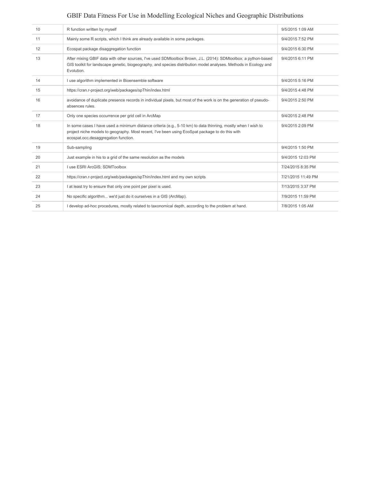| 10 | R function written by myself                                                                                                                                                                                                                             | 9/5/2015 1:09 AM   |
|----|----------------------------------------------------------------------------------------------------------------------------------------------------------------------------------------------------------------------------------------------------------|--------------------|
| 11 | Mainly some R scripts, which I think are already available in some packages.                                                                                                                                                                             | 9/4/2015 7:52 PM   |
| 12 | Ecospat package disaggregation function                                                                                                                                                                                                                  | 9/4/2015 6:30 PM   |
| 13 | After mixing GBIF data with other sources, I've used SDMtoolbox Brown, J.L. (2014): SDMtoolbox: a python-based<br>GIS toolkit for landscape genetic, biogeography, and species distribution model analyses. Methods in Ecology and<br>Evolution.         | 9/4/2015 6:11 PM   |
| 14 | I use algorithm implemented in Bioensemble software                                                                                                                                                                                                      | 9/4/2015 5:16 PM   |
| 15 | https://cran.r-project.org/web/packages/spThin/index.html                                                                                                                                                                                                | 9/4/2015 4:48 PM   |
| 16 | avoidance of duplicate presence records in individual pixels, but most of the work is on the generation of pseudo-<br>absences rules.                                                                                                                    | 9/4/2015 2:50 PM   |
| 17 | Only one species occurrence per grid cell in ArcMap                                                                                                                                                                                                      | 9/4/2015 2:48 PM   |
| 18 | In some cases I have used a minimum distance criteria (e.g., 5-10 km) to data thinning, mostly when I wish to<br>project niche models to geography. Most recent, I've been using EcoSpat package to do this with<br>ecospat.occ.desaggregation function. | 9/4/2015 2:09 PM   |
| 19 | Sub-sampling                                                                                                                                                                                                                                             | 9/4/2015 1:50 PM   |
| 20 | Just example in his to a grid of the same resolution as the models                                                                                                                                                                                       | 9/4/2015 12:03 PM  |
| 21 | I use ESRI ArcGIS; SDMToolbox                                                                                                                                                                                                                            | 7/24/2015 8:35 PM  |
| 22 | https://cran.r-project.org/web/packages/spThin/index.html and my own scripts                                                                                                                                                                             | 7/21/2015 11:49 PM |
| 23 | I at least try to ensure that only one point per pixel is used.                                                                                                                                                                                          | 7/13/2015 3:37 PM  |
| 24 | No specific algorithm we'd just do it ourselves in a GIS (ArcMap).                                                                                                                                                                                       | 7/9/2015 11:59 PM  |
| 25 | I develop ad-hoc procedures, mostly related to taxonomical depth, according to the problem at hand.                                                                                                                                                      | 7/8/2015 1:05 AM   |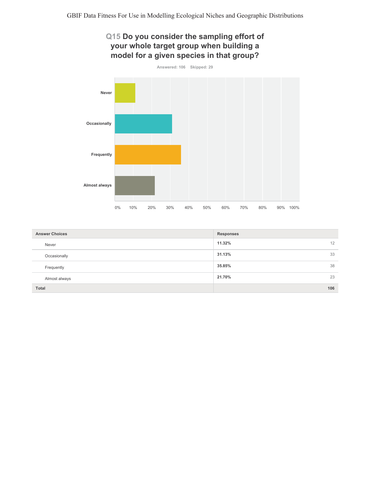## Q15 Do you consider the sampling effort of your whole target group when building a model for a given species in that group?



| <b>Answer Choices</b> | Responses    |
|-----------------------|--------------|
| Never                 | 11.32%<br>12 |
| Occasionally          | 31.13%<br>33 |
| Frequently            | 38<br>35.85% |
| Almost always         | 21.70%<br>23 |
| Total                 | 106          |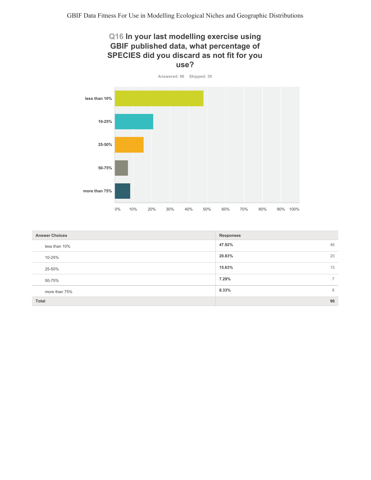#### Q16 In your last modelling exercise using GBIF published data, what percentage of SPECIES did you discard as not fit for you use?



| <b>Answer Choices</b> | <b>Responses</b>        |  |
|-----------------------|-------------------------|--|
| less than 10%         | 46<br>47.92%            |  |
| 10-25%                | 20<br>20.83%            |  |
| 25-50%                | 15<br>15.63%            |  |
| 50-75%                | 7.29%<br>$\overline{ }$ |  |
| more than 75%         | 8<br>8.33%              |  |
| Total                 | 96                      |  |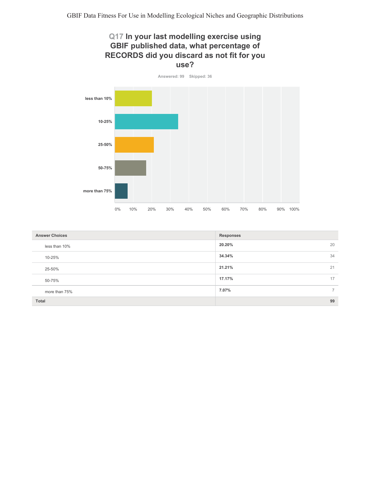#### Q17 In your last modelling exercise using GBIF published data, what percentage of RECORDS did you discard as not fit for you use?



| <b>Answer Choices</b> | <b>Responses</b>        |  |
|-----------------------|-------------------------|--|
| less than 10%         | 20.20%<br>20            |  |
| 10-25%                | 34.34%<br>34            |  |
| 25-50%                | 21.21%<br>21            |  |
| 50-75%                | 17.17%<br>17            |  |
| more than 75%         | 7.07%<br>$\overline{ }$ |  |
| Total                 | 99                      |  |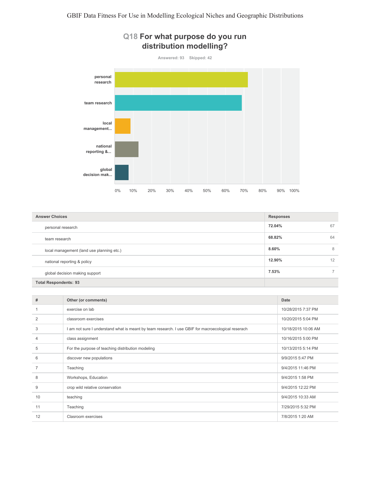

| <b>Answer Choices</b>                     | <b>Responses</b> |    |
|-------------------------------------------|------------------|----|
| personal research                         | 72.04%           | 67 |
| team research                             | 68.82%           | 64 |
| local management (land use planning etc.) | 8.60%            | 8  |
| national reporting & policy               | 12.90%           | 12 |
| global decision making support            | 7.53%            |    |
| <b>Total Respondents: 93</b>              |                  |    |

| #              | Other (or comments)                                                                                | Date                |
|----------------|----------------------------------------------------------------------------------------------------|---------------------|
|                | exercise on lab                                                                                    | 10/28/2015 7:37 PM  |
| $\overline{2}$ | classroom exercises                                                                                | 10/20/2015 5:04 PM  |
| 3              | I am not sure I understand what is meant by team research. I use GBIF for macroecological reserach | 10/18/2015 10:06 AM |
| 4              | class assignment                                                                                   | 10/16/2015 5:00 PM  |
| 5              | For the purpose of teaching distribution modeling                                                  | 10/13/2015 5:14 PM  |
| 6              | discover new populations                                                                           | 9/9/2015 5:47 PM    |
|                | Teaching                                                                                           | 9/4/2015 11:46 PM   |
| 8              | Workshops, Education                                                                               | 9/4/2015 1:58 PM    |
| 9              | crop wild relative conservation                                                                    | 9/4/2015 12:22 PM   |
| 10             | teaching                                                                                           | 9/4/2015 10:33 AM   |
| 11             | Teaching                                                                                           | 7/29/2015 5:32 PM   |
| 12             | Clasroom exercises                                                                                 | 7/8/2015 1:20 AM    |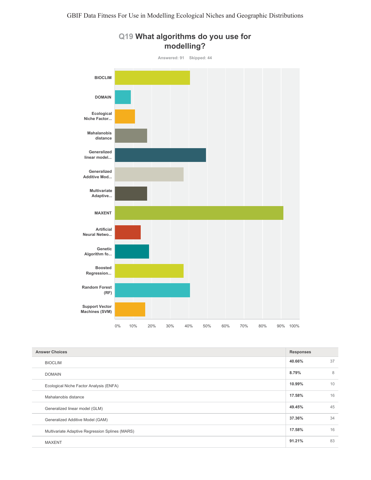

#### Q19 What algorithms do you use for modelling?

| <b>Answer Choices</b>                           |        |    |
|-------------------------------------------------|--------|----|
| <b>BIOCLIM</b>                                  | 40.66% | 37 |
| <b>DOMAIN</b>                                   | 8.79%  | 8  |
| Ecological Niche Factor Analysis (ENFA)         | 10.99% | 10 |
| Mahalanobis distance                            | 17.58% | 16 |
| Generalized linear model (GLM)                  | 49.45% | 45 |
| Generalized Additive Model (GAM)                | 37.36% | 34 |
| Multivariate Adaptive Regression Splines (MARS) | 17.58% | 16 |
| <b>MAXENT</b>                                   | 91.21% | 83 |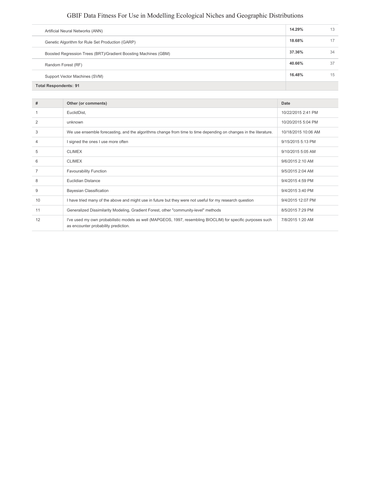| Artificial Neural Networks (ANN)                                | 14.29% | 13 |
|-----------------------------------------------------------------|--------|----|
| Genetic Algorithm for Rule Set Production (GARP)                | 18.68% | 17 |
| Boosted Regression Trees (BRT)/Gradient Boosting Machines (GBM) | 37.36% | 34 |
| Random Forest (RF)                                              | 40.66% | 37 |
| Support Vector Machines (SVM)                                   | 16.48% | 15 |
| <b>Total Respondents: 91</b>                                    |        |    |

| #  | Other (or comments)                                                                                                                                  | Date                |
|----|------------------------------------------------------------------------------------------------------------------------------------------------------|---------------------|
|    | EuclidDist,                                                                                                                                          | 10/22/2015 2:41 PM  |
| 2  | unknown                                                                                                                                              | 10/20/2015 5:04 PM  |
| 3  | We use ensemble forecasting, and the algorithms change from time to time depending on changes in the literature.                                     | 10/18/2015 10:06 AM |
| 4  | I signed the ones I use more often                                                                                                                   | 9/15/2015 5:13 PM   |
| 5  | <b>CLIMEX</b>                                                                                                                                        | 9/10/2015 5:05 AM   |
| 6  | <b>CLIMEX</b>                                                                                                                                        | 9/6/2015 2:10 AM    |
|    | <b>Favourability Function</b>                                                                                                                        | 9/5/2015 2:04 AM    |
| 8  | Euclidian Distance                                                                                                                                   | 9/4/2015 4:59 PM    |
| 9  | <b>Bayesian Classification</b>                                                                                                                       | 9/4/2015 3:40 PM    |
| 10 | I have tried many of the above and might use in future but they were not useful for my research question                                             | 9/4/2015 12:07 PM   |
| 11 | Generalized Dissimilarity Modeling, Gradient Forest, other "community-level" methods                                                                 | 8/5/2015 7:29 PM    |
| 12 | I've used my own probabilistic models as well (MAPGEOS, 1997, resembling BIOCLIM) for specific purposes such<br>as encounter probability prediction. | 7/8/2015 1:20 AM    |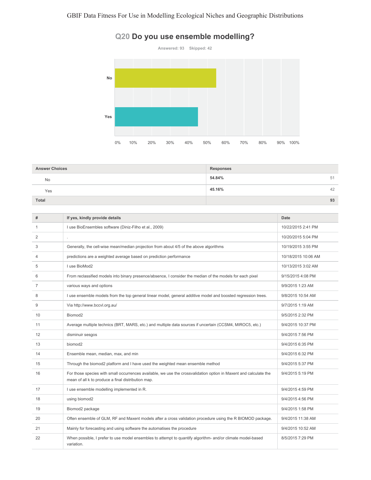

#### Q20 Do you use ensemble modelling?

| <b>Answer Choices</b> | <b>Responses</b> |  |
|-----------------------|------------------|--|
| <b>No</b>             | 54.84%<br>51     |  |
| Yes                   | 45.16%<br>42     |  |
| Total                 | 93               |  |

| #  | If yes, kindly provide details                                                                                                                                          | Date                |
|----|-------------------------------------------------------------------------------------------------------------------------------------------------------------------------|---------------------|
| 1  | I use BioEnsembles software (Diniz-Filho et al., 2009)                                                                                                                  | 10/22/2015 2:41 PM  |
| 2  |                                                                                                                                                                         | 10/20/2015 5:04 PM  |
| 3  | Generally, the cell-wise mean/median projection from about 4/5 of the above algorithms                                                                                  | 10/19/2015 3:55 PM  |
| 4  | predictions are a weighted average based on prediction performance                                                                                                      | 10/18/2015 10:06 AM |
| 5  | I use BioMod2                                                                                                                                                           | 10/13/2015 3:02 AM  |
| 6  | From reclassified models into binary presence/absence, I consider the median of the models for each pixel                                                               | 9/15/2015 4:08 PM   |
| 7  | various ways and options                                                                                                                                                | 9/9/2015 1:23 AM    |
| 8  | I use ensemble models from the top general linear model, general additive model and boosted regression trees.                                                           | 9/8/2015 10:54 AM   |
| 9  | Via http://www.bccvl.org.au/                                                                                                                                            | 9/7/2015 1:19 AM    |
| 10 | Biomod <sub>2</sub>                                                                                                                                                     | 9/5/2015 2:32 PM    |
| 11 | Average multiple technics (BRT, MARS, etc.) and multiple data sources if uncertain (CCSM4, MIROC5, etc.)                                                                | 9/4/2015 10:37 PM   |
| 12 | disminuir sesgos                                                                                                                                                        | 9/4/2015 7:56 PM    |
| 13 | biomod <sub>2</sub>                                                                                                                                                     | 9/4/2015 6:35 PM    |
| 14 | Ensemble mean, median, max, and min                                                                                                                                     | 9/4/2015 6:32 PM    |
| 15 | Through the biomod2 platform and I have used the weighted mean ensemble method                                                                                          | 9/4/2015 5:37 PM    |
| 16 | For those species with small occurrences available, we use the crossvalidation option in Maxent and calculate the<br>mean of all k to produce a final distribution map. | 9/4/2015 5:19 PM    |
| 17 | I use ensemble modelling implemented in R.                                                                                                                              | 9/4/2015 4:59 PM    |
| 18 | using biomod2                                                                                                                                                           | 9/4/2015 4:56 PM    |
| 19 | Biomod2 package                                                                                                                                                         | 9/4/2015 1:58 PM    |
| 20 | Often ensemble of GLM, RF and Maxent models after a cross validation procedure using the R BIOMOD package.                                                              | 9/4/2015 11:38 AM   |
| 21 | Mainly for forecasting and using software the automatises the procedure                                                                                                 | 9/4/2015 10:52 AM   |
| 22 | When possible, I prefer to use model ensembles to attempt to quantify algorithm- and/or climate model-based<br>variation.                                               | 8/5/2015 7:29 PM    |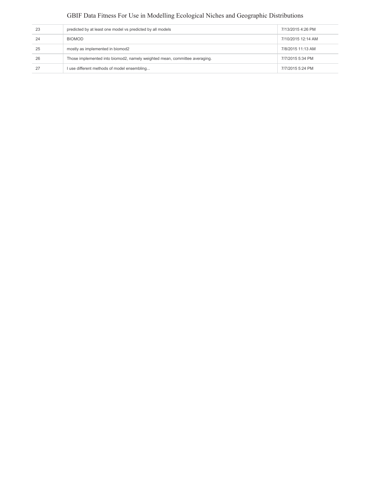| 23 | predicted by at least one model vs predicted by all models                 | 7/13/2015 4:26 PM  |
|----|----------------------------------------------------------------------------|--------------------|
| 24 | <b>BIOMOD</b>                                                              | 7/10/2015 12:14 AM |
| 25 | mostly as implemented in biomod2                                           | 7/8/2015 11:13 AM  |
| 26 | Those implemented into biomod2, namely weighted mean, committee averaging. | 7/7/2015 5:34 PM   |
| 27 | I use different methods of model ensembling                                | 7/7/2015 5:24 PM   |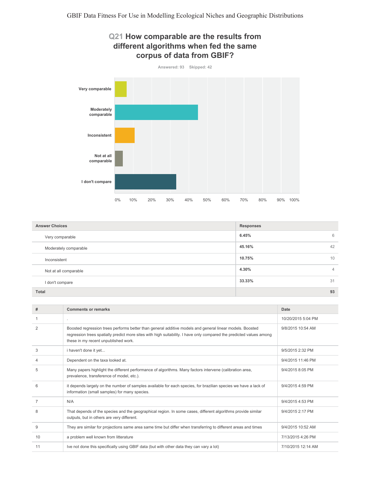



| <b>Answer Choices</b> | <b>Responses</b>        |
|-----------------------|-------------------------|
| Very comparable       | 6.45%<br>6              |
| Moderately comparable | 45.16%<br>42            |
| Inconsistent          | 10<br>10.75%            |
| Not at all comparable | 4.30%<br>$\overline{4}$ |
| I don't compare       | 33.33%<br>31            |
| <b>Total</b>          | 93                      |

| #              | <b>Comments or remarks</b>                                                                                                                                                                                                                                               | Date               |
|----------------|--------------------------------------------------------------------------------------------------------------------------------------------------------------------------------------------------------------------------------------------------------------------------|--------------------|
|                | ×.                                                                                                                                                                                                                                                                       | 10/20/2015 5:04 PM |
| $\overline{2}$ | Boosted regression trees performs better than general additive models and general linear models. Boosted<br>regression trees spatially predict more sites with high suitability. I have only compared the predicted values among<br>these in my recent unpublished work. | 9/8/2015 10:54 AM  |
| 3              | i haven't done it yet                                                                                                                                                                                                                                                    | 9/5/2015 2:32 PM   |
| 4              | Dependent on the taxa looked at.                                                                                                                                                                                                                                         | 9/4/2015 11:46 PM  |
| 5              | Many papers highlight the different performance of algorithms. Many factors intervene (calibration area,<br>prevalence, transference of model, etc.).                                                                                                                    | 9/4/2015 8:05 PM   |
| 6              | it depends largely on the number of samples available for each species, for brazilian species we have a lack of<br>information (small samples) for many species.                                                                                                         | 9/4/2015 4:59 PM   |
| 7              | N/A                                                                                                                                                                                                                                                                      | 9/4/2015 4:53 PM   |
| 8              | That depends of the species and the geographical region. In some cases, different algorithms provide similar<br>outputs, but in others are very different.                                                                                                               | 9/4/2015 2:17 PM   |
| 9              | They are similar for projections same area same time but differ when transferring to different areas and times                                                                                                                                                           | 9/4/2015 10:52 AM  |
| 10             | a problem well known from litterature                                                                                                                                                                                                                                    | 7/13/2015 4:26 PM  |
| 11             | Ive not done this specifically using GBIF data (but with other data they can vary a lot)                                                                                                                                                                                 | 7/10/2015 12:14 AM |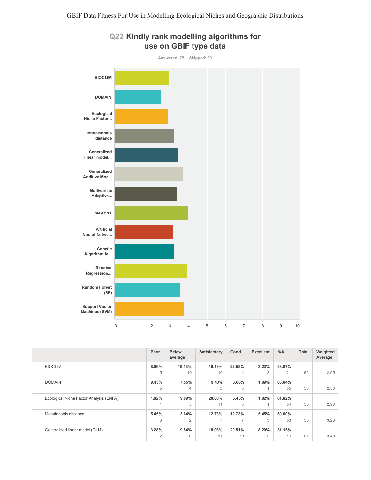

#### Q22 Kindly rank modelling algorithms for use on GBIF type data

|                                         | Poor           | <b>Below</b><br>average | Satisfactory   | Good   | <b>Excellent</b> | N/A    | <b>Total</b> | Weighted<br>Average |
|-----------------------------------------|----------------|-------------------------|----------------|--------|------------------|--------|--------------|---------------------|
| <b>BIOCLIM</b>                          | 8.06%          | 16.13%                  | 16.13%         | 22.58% | 3.23%            | 33.87% |              |                     |
|                                         | 5              | 10                      | 10             | 14     | $\overline{2}$   | 21     | 62           | 2.95                |
| <b>DOMAIN</b>                           | 9.43%          | 7.55%                   | 9.43%          | 5.66%  | 1.89%            | 66.04% |              |                     |
|                                         | 5              | 4                       | 5              | 3      |                  | 35     | 53           | 2.50                |
| Ecological Niche Factor Analysis (ENFA) | 1.82%          | 9.09%                   | 20.00%         | 5.45%  | 1.82%            | 61.82% |              |                     |
|                                         |                | 5                       | 11             | 3      |                  | 34     | 55           | 2.90                |
| Mahalanobis distance                    | 5.45%          | 3.64%                   | 12.73%         | 12.73% | 5.45%            | 60.00% |              |                     |
|                                         | 3              | $\overline{2}$          | $\overline{7}$ | ⇁      | 3                | 33     | 55           | 3.23                |
| Generalized linear model (GLM)          | 3.28%          | 9.84%                   | 18.03%         | 29.51% | 8.20%            | 31.15% |              |                     |
|                                         | $\overline{2}$ | 6                       | 11             | 18     | 5                | 19     | 61           | 3.43                |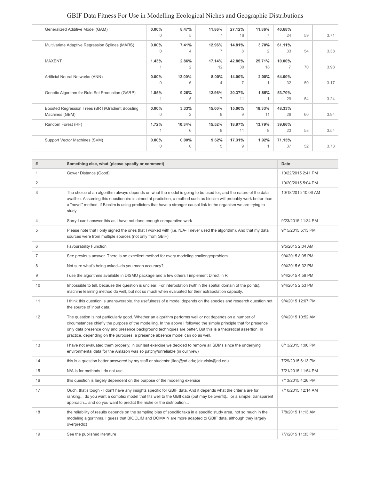| 3.71                                   |
|----------------------------------------|
|                                        |
| 3.38                                   |
|                                        |
| 3.98                                   |
|                                        |
| 3.17                                   |
|                                        |
| 3.24                                   |
|                                        |
| 3.94                                   |
|                                        |
| 3.54                                   |
|                                        |
|                                        |
| 59<br>54<br>70<br>50<br>54<br>60<br>58 |

| #              | Something else, what (please specify or comment)                                                                                                                                                                                                                                                                                                                                                                                 | Date                |
|----------------|----------------------------------------------------------------------------------------------------------------------------------------------------------------------------------------------------------------------------------------------------------------------------------------------------------------------------------------------------------------------------------------------------------------------------------|---------------------|
| 1              | Gower Distance (Good)                                                                                                                                                                                                                                                                                                                                                                                                            | 10/22/2015 2:41 PM  |
| $\overline{2}$ |                                                                                                                                                                                                                                                                                                                                                                                                                                  | 10/20/2015 5:04 PM  |
| 3              | The choice of an algorithm always depends on what the model is going to be used for, and the nature of the data<br>availble. Assuming this questionaire is aimed at prediction, a method such as bioclim will probably work better than<br>a "novel" method, if Bioclim is using predictors that have a stronger causal link to the organism we are trying to<br>study.                                                          | 10/18/2015 10:06 AM |
| 4              | Sorry I can't answer this as I have not done enough comparative work                                                                                                                                                                                                                                                                                                                                                             | 9/23/2015 11:34 PM  |
| 5              | Please note that I only signed the ones that I worked with (i.e. N/A-I never used the algorithm). And that my data<br>sources were from multiple sources (not only from GBIF)                                                                                                                                                                                                                                                    | 9/15/2015 5:13 PM   |
| 6              | <b>Favourability Function</b>                                                                                                                                                                                                                                                                                                                                                                                                    | 9/5/2015 2:04 AM    |
| 7              | See previous answer. There is no excellent method for every modeling challenge/problem.                                                                                                                                                                                                                                                                                                                                          | 9/4/2015 8:05 PM    |
| 8              | Not sure what's being asked--do you mean accuracy?                                                                                                                                                                                                                                                                                                                                                                               | 9/4/2015 6:32 PM    |
| 9              | I use the algorithms available in DISMO package and a few others I implement Direct in R                                                                                                                                                                                                                                                                                                                                         | 9/4/2015 4:59 PM    |
| 10             | Impossible to tell, because the question is unclear. For interpolation (within the spatial domain of the points),<br>machine learning method do well, but not so much when evaluated for their extrapolation capacity.                                                                                                                                                                                                           | 9/4/2015 2:53 PM    |
| 11             | I think this question is unanswerable, the usefulness of a model depends on the species and research question not<br>the source of input data.                                                                                                                                                                                                                                                                                   | 9/4/2015 12:07 PM   |
| 12             | The question is not particularly good. Whether an algorithm performs well or not depends on a number of<br>circumstances chiefly the purpose of the modelling. In the above I followed the simple principle that for presence<br>only data presence only and presence background techniques are better. But this is a theoretical assertion. In<br>practice, depending on the purposes, a presence absence model can do as well. | 9/4/2015 10:52 AM   |
| 13             | I have not evaluated them properly; in our last exercise we decided to remove all SDMs since the underlying<br>environmental data for the Amazon was so patchy/unreliable (in our view)                                                                                                                                                                                                                                          | 8/13/2015 1:06 PM   |
| 14             | this is a question better answered by my staff or students: iliao@nd.edu; jdzurisin@nd.edu                                                                                                                                                                                                                                                                                                                                       | 7/29/2015 6:13 PM   |
| 15             | N/A is for methods I do not use                                                                                                                                                                                                                                                                                                                                                                                                  | 7/21/2015 11:54 PM  |
| 16             | this question is largely dependent on the purpose of the modeling exersice                                                                                                                                                                                                                                                                                                                                                       | 7/13/2015 4:26 PM   |
| 17             | Ouch, that's tough - I don't have any insights specific for GBIF data. And it depends what the criteria are for<br>ranking do you want a complex model that fits well to the GBIf data (but may be overfit) or a simple, transparent<br>approach and do you want to predict the niche or the distribution                                                                                                                        | 7/10/2015 12:14 AM  |
| 18             | the reliability of results depends on the sampling bias of specific taxa in a specific study area, not so much in the<br>modeling algorithms. I guess that BIOCLIM and DOMAIN are more adapted to GBIF data, although they largely<br>overpredict                                                                                                                                                                                | 7/8/2015 11:13 AM   |
| 19             | See the published literature                                                                                                                                                                                                                                                                                                                                                                                                     | 7/7/2015 11:33 PM   |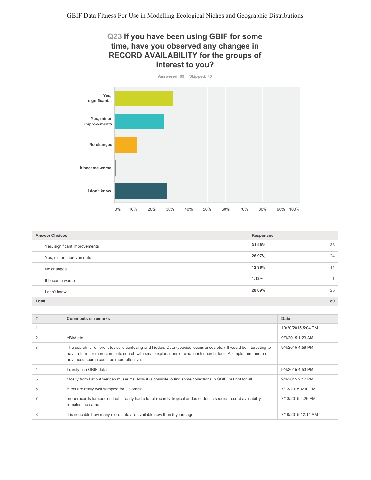## Q23 If you have been using GBIF for some time, have you observed any changes in RECORD AVAILABILITY for the groups of interest to you?



| <b>Answer Choices</b>         | Responses |    |
|-------------------------------|-----------|----|
| Yes, significant improvements | 31.46%    | 28 |
| Yes, minor improvements       | 26.97%    | 24 |
| No changes                    | 12.36%    | 11 |
| It became worse               | 1.12%     |    |
| I don't know                  | 28.09%    | 25 |
| <b>Total</b>                  |           | 89 |

| # | <b>Comments or remarks</b>                                                                                                                                                                                                                                                       | Date               |
|---|----------------------------------------------------------------------------------------------------------------------------------------------------------------------------------------------------------------------------------------------------------------------------------|--------------------|
|   |                                                                                                                                                                                                                                                                                  | 10/20/2015 5:04 PM |
|   | eBird etc.                                                                                                                                                                                                                                                                       | 9/9/2015 1:23 AM   |
| 3 | The search for different topics is confusing and hidden: Data (species, occurrences etc.). It would be interesting to<br>have a form for more complete search with small explanations of what each search does. A simple form and an<br>advanced search could be more effective. | 9/4/2015 4:59 PM   |
|   | I rarely use GBIF data.                                                                                                                                                                                                                                                          | 9/4/2015 4:53 PM   |
| 5 | Mostly from Latin American museums. Now it is possible to find some collections in GBIF, but not for all.                                                                                                                                                                        | 9/4/2015 2:17 PM   |
| 6 | Birds are really well sampled for Colombia                                                                                                                                                                                                                                       | 7/13/2015 4:30 PM  |
|   | more records for species that already had a lot of records, tropical andes endemic species record availability<br>remains the same                                                                                                                                               | 7/13/2015 4:26 PM  |
| 8 | it is noticable how many more data are available now than 5 years ago                                                                                                                                                                                                            | 7/10/2015 12:14 AM |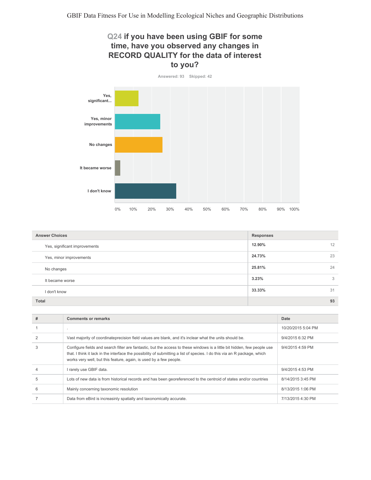## Q24 if you have been using GBIF for some time, have you observed any changes in RECORD QUALITY for the data of interest to you?



| <b>Answer Choices</b>         | <b>Responses</b> |
|-------------------------------|------------------|
| Yes, significant improvements | 12.90%<br>12     |
| Yes, minor improvements       | 23<br>24.73%     |
| No changes                    | 25.81%<br>24     |
| It became worse               | 3.23%<br>3       |
| I don't know                  | 33.33%<br>31     |
| <b>Total</b>                  | 93               |

| # | <b>Comments or remarks</b>                                                                                                                                                                                                                                                                                                  | Date               |
|---|-----------------------------------------------------------------------------------------------------------------------------------------------------------------------------------------------------------------------------------------------------------------------------------------------------------------------------|--------------------|
|   | $\mathbf{r}$                                                                                                                                                                                                                                                                                                                | 10/20/2015 5:04 PM |
|   | Vast majority of coordinateprecision field values are blank, and it's inclear what the units should be.                                                                                                                                                                                                                     | 9/4/2015 6:32 PM   |
| 3 | Configure fields and search filter are fantastic, but the access to these windows is a little bit hidden, few people use<br>that. I think it lack in the interface the possibility of submitting a list of species. I do this via an R package, which<br>works very well, but this feature, again, is used by a few people. | 9/4/2015 4:59 PM   |
|   | I rarely use GBIF data.                                                                                                                                                                                                                                                                                                     | 9/4/2015 4:53 PM   |
| 5 | Lots of new data is from historical records and has been georeferenced to the centroid of states and/or countries                                                                                                                                                                                                           | 8/14/2015 3:45 PM  |
| 6 | Mainly concerning taxonomic resolution                                                                                                                                                                                                                                                                                      | 8/13/2015 1:06 PM  |
|   | Data from eBird is increasinly spatially and taxonomically accurate.                                                                                                                                                                                                                                                        | 7/13/2015 4:30 PM  |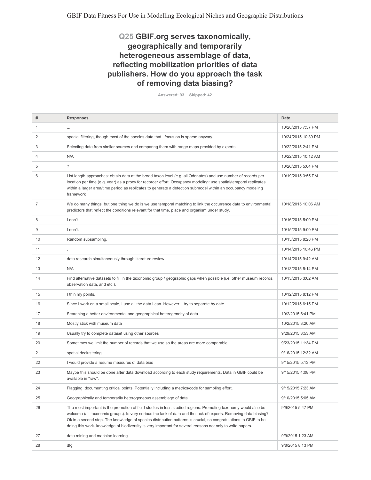### Q25 GBIF.org serves taxonomically, geographically and temporarily heterogeneous assemblage of data, reflecting mobilization priorities of data publishers. How do you approach the task of removing data biasing?

Answered: 93 Skipped: 42

| #              | <b>Responses</b>                                                                                                                                                                                                                                                                                                                                                                                                                                                     | <b>Date</b>         |
|----------------|----------------------------------------------------------------------------------------------------------------------------------------------------------------------------------------------------------------------------------------------------------------------------------------------------------------------------------------------------------------------------------------------------------------------------------------------------------------------|---------------------|
| 1              | $\cdots$                                                                                                                                                                                                                                                                                                                                                                                                                                                             | 10/28/2015 7:37 PM  |
| 2              | spacial filtering, though most of the species data that I focus on is sparse anyway.                                                                                                                                                                                                                                                                                                                                                                                 | 10/24/2015 10:39 PM |
| 3              | Selecting data from similar sources and comparing them with range maps provided by experts                                                                                                                                                                                                                                                                                                                                                                           | 10/22/2015 2:41 PM  |
| 4              | N/A                                                                                                                                                                                                                                                                                                                                                                                                                                                                  | 10/22/2015 10:12 AM |
| 5              | $\overline{\phantom{0}}$                                                                                                                                                                                                                                                                                                                                                                                                                                             | 10/20/2015 5:04 PM  |
| 6              | List length approaches: obtain data at the broad taxon level (e.g. all Odonates) and use number of records per<br>location per time (e.g. year) as a proxy for recorder effort. Occupancy modeling: use spatial/temporal replicates<br>within a larger area/time period as replicates to generate a detection submodel within an occupancy modeling<br>framework                                                                                                     | 10/19/2015 3:55 PM  |
| $\overline{7}$ | We do many things, but one thing we do is we use temporal matching to link the occurrence data to environmental<br>predictors that reflect the conditions relevant for that time, place and organism under study.                                                                                                                                                                                                                                                    | 10/18/2015 10:06 AM |
| 8              | I don't                                                                                                                                                                                                                                                                                                                                                                                                                                                              | 10/16/2015 5:00 PM  |
| 9              | I don't.                                                                                                                                                                                                                                                                                                                                                                                                                                                             | 10/15/2015 9:00 PM  |
| 10             | Random subsampling.                                                                                                                                                                                                                                                                                                                                                                                                                                                  | 10/15/2015 8:28 PM  |
| 11             | $\blacksquare$                                                                                                                                                                                                                                                                                                                                                                                                                                                       | 10/14/2015 10:46 PM |
| 12             | data research simultaneously through literature review                                                                                                                                                                                                                                                                                                                                                                                                               | 10/14/2015 9:42 AM  |
| 13             | N/A                                                                                                                                                                                                                                                                                                                                                                                                                                                                  | 10/13/2015 5:14 PM  |
| 14             | Find alternative datasets to fill in the taxonomic group / geographic gaps when possible (i.e. other museum records,<br>observation data, and etc.).                                                                                                                                                                                                                                                                                                                 | 10/13/2015 3:02 AM  |
| 15             | I thin my points.                                                                                                                                                                                                                                                                                                                                                                                                                                                    | 10/12/2015 8:12 PM  |
| 16             | Since I work on a small scale, I use all the data I can. However, I try to separate by date.                                                                                                                                                                                                                                                                                                                                                                         | 10/12/2015 6:15 PM  |
| 17             | Searching a better environmental and geographical heterogeneity of data                                                                                                                                                                                                                                                                                                                                                                                              | 10/2/2015 6:41 PM   |
| 18             | Mostly stick with museum data                                                                                                                                                                                                                                                                                                                                                                                                                                        | 10/2/2015 3:20 AM   |
| 19             | Usually try to complete dataset using other sources                                                                                                                                                                                                                                                                                                                                                                                                                  | 9/29/2015 3:53 AM   |
| 20             | Sometimes we limit the number of records that we use so the areas are more comparable                                                                                                                                                                                                                                                                                                                                                                                | 9/23/2015 11:34 PM  |
| 21             | spatial declustering                                                                                                                                                                                                                                                                                                                                                                                                                                                 | 9/16/2015 12:32 AM  |
| 22             | I would provide a resume measures of data bias                                                                                                                                                                                                                                                                                                                                                                                                                       | 9/15/2015 5:13 PM   |
| 23             | Maybe this should be done after data download according to each study requirements. Data in GBIF could be<br>available in "raw".                                                                                                                                                                                                                                                                                                                                     | 9/15/2015 4:08 PM   |
| 24             | Flagging, documenting critical points. Potentially including a metrics/code for sampling effort.                                                                                                                                                                                                                                                                                                                                                                     | 9/15/2015 7:23 AM   |
| 25             | Geographically and temporarily heterogeneous assemblage of data                                                                                                                                                                                                                                                                                                                                                                                                      | 9/10/2015 5:05 AM   |
| 26             | The most important is the promotion of field studies in less studied regions. Promoting taxonomy would also be<br>welcome (all taxonomic groups). Is very serious the lack of data and the lack of experts. Removing data biasing?<br>Ok in a second step. The knowledge of species distribution patterns is crucial, so congratulations to GBIF to be<br>doing this work. knowledge of biodiversity is very important for several reasons not only to write papers. | 9/9/2015 5:47 PM    |
| 27             | data mining and machine learning                                                                                                                                                                                                                                                                                                                                                                                                                                     | 9/9/2015 1:23 AM    |
| 28             | dfg                                                                                                                                                                                                                                                                                                                                                                                                                                                                  | 9/8/2015 8:13 PM    |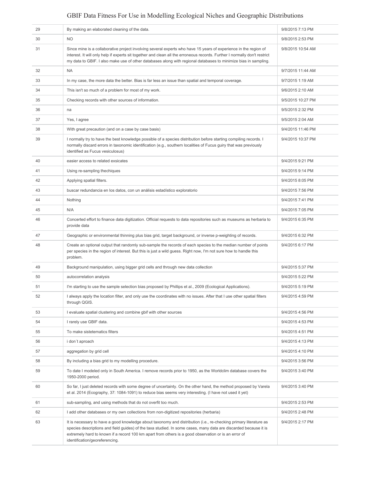| 29 | By making an elaborated cleaning of the data.                                                                                                                                                                                                                                                                                                                                   | 9/8/2015 7:13 PM  |
|----|---------------------------------------------------------------------------------------------------------------------------------------------------------------------------------------------------------------------------------------------------------------------------------------------------------------------------------------------------------------------------------|-------------------|
| 30 | <b>NO</b>                                                                                                                                                                                                                                                                                                                                                                       | 9/8/2015 2:53 PM  |
| 31 | Since mine is a collaborative project involving several experts who have 15 years of experience in the region of<br>interest. It will only help if experts sit together and clean all the erroneous records. Further I normally don't restrict<br>my data to GBIF. I also make use of other databases along with regional databases to minimize bias in sampling.               | 9/8/2015 10:54 AM |
| 32 | <b>NA</b>                                                                                                                                                                                                                                                                                                                                                                       | 9/7/2015 11:44 AM |
| 33 | In my case, the more data the better. Bias is far less an issue than spatial and temporal coverage.                                                                                                                                                                                                                                                                             | 9/7/2015 1:19 AM  |
| 34 | This isn't so much of a problem for most of my work.                                                                                                                                                                                                                                                                                                                            | 9/6/2015 2:10 AM  |
| 35 | Checking records with other sources of information.                                                                                                                                                                                                                                                                                                                             | 9/5/2015 10:27 PM |
| 36 | na                                                                                                                                                                                                                                                                                                                                                                              | 9/5/2015 2:32 PM  |
| 37 | Yes, I agree                                                                                                                                                                                                                                                                                                                                                                    | 9/5/2015 2:04 AM  |
| 38 | With great precaution (and on a case by case basis)                                                                                                                                                                                                                                                                                                                             | 9/4/2015 11:46 PM |
| 39 | I normally try to have the best knowledge possible of a species distribution before starting compiling records. I<br>normally discard errors in taxonomic identification (e.g., southern localities of Fucus guiry that was previously<br>identified as Fucus vesiculosus)                                                                                                      | 9/4/2015 10:37 PM |
| 40 | easier access to related exsicates                                                                                                                                                                                                                                                                                                                                              | 9/4/2015 9:21 PM  |
| 41 | Using re-sampling thechiques                                                                                                                                                                                                                                                                                                                                                    | 9/4/2015 9:14 PM  |
| 42 | Applying spatial filters.                                                                                                                                                                                                                                                                                                                                                       | 9/4/2015 8:05 PM  |
| 43 | buscar redundancia en los datos, con un análisis estadístico exploratorio                                                                                                                                                                                                                                                                                                       | 9/4/2015 7:56 PM  |
| 44 | Nothing                                                                                                                                                                                                                                                                                                                                                                         | 9/4/2015 7:41 PM  |
| 45 | N/A                                                                                                                                                                                                                                                                                                                                                                             | 9/4/2015 7:05 PM  |
| 46 | Concerted effort to finance data digitization. Official requests to data repositories such as museums as herbaria to<br>provide data                                                                                                                                                                                                                                            | 9/4/2015 6:35 PM  |
| 47 | Geographic or environmental thinning plus bias grid, target background, or inverse p-weighting of records.                                                                                                                                                                                                                                                                      | 9/4/2015 6:32 PM  |
| 48 | Create an optional output that randomly sub-sample the records of each species to the median number of points<br>per species in the region of interest. But this is just a wild guess. Right now, I'm not sure how to handle this<br>problem.                                                                                                                                   | 9/4/2015 6:17 PM  |
| 49 | Background manipulation, using bigger grid cells and through new data collection                                                                                                                                                                                                                                                                                                | 9/4/2015 5:37 PM  |
| 50 | autocorrelation analysis                                                                                                                                                                                                                                                                                                                                                        | 9/4/2015 5:22 PM  |
| 51 | I'm starting to use the sample selection bias proposed by Phillips et al., 2009 (Ecological Applications).                                                                                                                                                                                                                                                                      | 9/4/2015 5:19 PM  |
| 52 | I always apply the location filter, and only use the coordinates with no issues. After that I use other spatial filters<br>through QGIS.                                                                                                                                                                                                                                        | 9/4/2015 4:59 PM  |
| 53 | I evaluate spatial clustering and combine gbif with other sources                                                                                                                                                                                                                                                                                                               | 9/4/2015 4:56 PM  |
| 54 | I rarely use GBIF data.                                                                                                                                                                                                                                                                                                                                                         | 9/4/2015 4:53 PM  |
| 55 | To make sistetematics filters                                                                                                                                                                                                                                                                                                                                                   | 9/4/2015 4:51 PM  |
| 56 | i don't aproach                                                                                                                                                                                                                                                                                                                                                                 | 9/4/2015 4:13 PM  |
| 57 | aggregation by grid cell                                                                                                                                                                                                                                                                                                                                                        | 9/4/2015 4:10 PM  |
| 58 | By including a bias grid to my modelling procedure.                                                                                                                                                                                                                                                                                                                             | 9/4/2015 3:56 PM  |
| 59 | To date I modeled only in South America. I remove records prior to 1950, as the Worldclim database covers the<br>1950-2000 period.                                                                                                                                                                                                                                              | 9/4/2015 3:40 PM  |
| 60 | So far, I just deleted records with some degree of uncertainty. On the other hand, the method proposed by Varela<br>et al. 2014 (Ecography, 37: 1084-1091) to reduce bias seems very interesting. (I have not used it yet)                                                                                                                                                      | 9/4/2015 3:40 PM  |
| 61 | sub-sampling, and using methods that do not overfit too much.                                                                                                                                                                                                                                                                                                                   | 9/4/2015 2:53 PM  |
| 62 | I add other databases or my own collections from non-digitized repositories (herbaria)                                                                                                                                                                                                                                                                                          | 9/4/2015 2:48 PM  |
| 63 | It is necessary to have a good knowledge about taxonomy and distribution (i.e., re-checking primary literature as<br>species descriptions and field guides) of the taxa studied. In some cases, many data are discarded because it is<br>extremely hard to known if a record 100 km apart from others is a good observation or is an error of<br>identification/georeferencing. | 9/4/2015 2:17 PM  |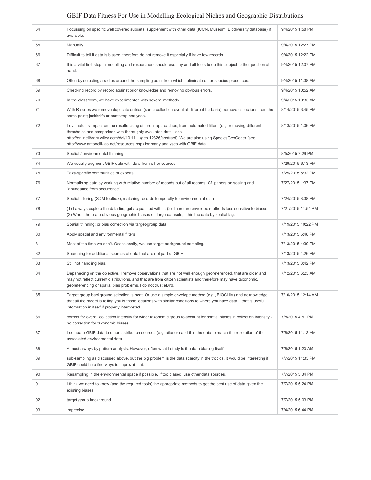| 64 | Focussing on specific well covered subsets, supplement with other data (IUCN, Museum, Biodiversity database) if<br>available.                                                                                                                                                                                                                                                 | 9/4/2015 1:58 PM   |
|----|-------------------------------------------------------------------------------------------------------------------------------------------------------------------------------------------------------------------------------------------------------------------------------------------------------------------------------------------------------------------------------|--------------------|
| 65 | Manually                                                                                                                                                                                                                                                                                                                                                                      | 9/4/2015 12:27 PM  |
| 66 | Difficult to tell if data is biased, therefore do not remove it especially if have few records.                                                                                                                                                                                                                                                                               | 9/4/2015 12:22 PM  |
| 67 | It is a vital first step in modelling and researchers should use any and all tools to do this subject to the question at<br>hand.                                                                                                                                                                                                                                             | 9/4/2015 12:07 PM  |
| 68 | Often by selecting a radius around the sampling point from which I eliminate other species presences.                                                                                                                                                                                                                                                                         | 9/4/2015 11:38 AM  |
| 69 | Checking record by record against prior knowledge and removing obvious errors.                                                                                                                                                                                                                                                                                                | 9/4/2015 10:52 AM  |
| 70 | In the classroom, we have experimented with several methods                                                                                                                                                                                                                                                                                                                   | 9/4/2015 10:33 AM  |
| 71 | With R scrips we remove duplicate entries (same collection event at different herbaria); remove collections from the<br>same point; jackknife or bootstrap analyses.                                                                                                                                                                                                          | 8/14/2015 3:45 PM  |
| 72 | I evaluate its impact on the results using different approaches, from automated filters (e.g. removing different<br>thresholds and comparison with thoroughly evaluated data - see<br>http://onlinelibrary.wiley.com/doi/10.1111/geb.12326/abstract). We are also using SpeciesGeoCoder (see<br>http://www.antonelli-lab.net/resources.php) for many analyses with GBIF data. | 8/13/2015 1:06 PM  |
| 73 | Spatial / environmental thinning.                                                                                                                                                                                                                                                                                                                                             | 8/5/2015 7:29 PM   |
| 74 | We usually augment GBIF data with data from other sources                                                                                                                                                                                                                                                                                                                     | 7/29/2015 6:13 PM  |
| 75 | Taxa-specific communities of experts                                                                                                                                                                                                                                                                                                                                          | 7/29/2015 5:32 PM  |
| 76 | Normalising data by working with relative number of records out of all records. Cf. papers on scaling and<br>"abundance from occurrence".                                                                                                                                                                                                                                     | 7/27/2015 1:37 PM  |
| 77 | Spatial filtering (SDMToolbox); matching records temporally to environmental data                                                                                                                                                                                                                                                                                             | 7/24/2015 8:38 PM  |
| 78 | (1) I always explore the data firs, get acquainted with it. (2) There are envelope methods less sensitive to biases.<br>(3) When there are obvious geographic biases on large datasets, I thin the data by spatial lag.                                                                                                                                                       | 7/21/2015 11:54 PM |
| 79 | Spatial thinning; or bias correction via target-group data                                                                                                                                                                                                                                                                                                                    | 7/19/2015 10:22 PM |
| 80 | Apply spatial and environmental filters                                                                                                                                                                                                                                                                                                                                       | 7/13/2015 5:48 PM  |
| 81 | Most of the time we don't. Ocassionally, we use target background sampling.                                                                                                                                                                                                                                                                                                   | 7/13/2015 4:30 PM  |
| 82 | Searching for additional sources of data that are not part of GBIF                                                                                                                                                                                                                                                                                                            | 7/13/2015 4:26 PM  |
| 83 | Still not handling bias.                                                                                                                                                                                                                                                                                                                                                      | 7/13/2015 3:42 PM  |
| 84 | Depaneding on the objective, I remove observations that are not well enough georeferenced, that are older and<br>may not reflect current distributions, and that are from citizen scientists and therefore may have taxonomic,<br>georeferencing or spatial bias problems, I do not trust eBird.                                                                              | 7/12/2015 6:23 AM  |
| 85 | Target group background selection is neat. Or use a simple envelope method (e.g., BIOCLIM) and acknowledge<br>that all the model is telling you is those locations with similar conditions to where you have data that is useful<br>information in itself if properly interpreted.                                                                                            | 7/10/2015 12:14 AM |
| 86 | correct for overall collection intensity for wider taxonomic group to account for spatial biases in collection intensity -<br>no correction for taxonomic biases.                                                                                                                                                                                                             | 7/8/2015 4:51 PM   |
| 87 | I compare GBIF data to other distribution sources (e.g. atlases) and thin the data to match the resolution of the<br>associated environmental data                                                                                                                                                                                                                            | 7/8/2015 11:13 AM  |
| 88 | Almost always by pattern analysis. However, often what I study is the data biasing itself.                                                                                                                                                                                                                                                                                    | 7/8/2015 1:20 AM   |
| 89 | sub-sampling as discussed above, but the big problem is the data scarcity in the tropics. It would be interesting if<br>GBIF could help find ways to improvat that.                                                                                                                                                                                                           | 7/7/2015 11:33 PM  |
| 90 | Resampling in the environmental space if possible. If too biased, use other data sources.                                                                                                                                                                                                                                                                                     | 7/7/2015 5:34 PM   |
| 91 | I think we need to know (and the required tools) the appropriate methods to get the best use of data given the<br>existing biases,                                                                                                                                                                                                                                            | 7/7/2015 5:24 PM   |
| 92 | target group background                                                                                                                                                                                                                                                                                                                                                       | 7/7/2015 5:03 PM   |
| 93 | imprecise                                                                                                                                                                                                                                                                                                                                                                     | 7/4/2015 6:44 PM   |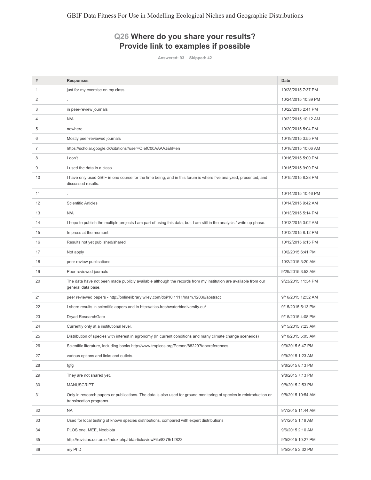## Q26 Where do you share your results? Provide link to examples if possible

Answered: 93 Skipped: 42

| #  | <b>Responses</b>                                                                                                                                | Date                |
|----|-------------------------------------------------------------------------------------------------------------------------------------------------|---------------------|
| 1  | just for my exercise on my class.                                                                                                               | 10/28/2015 7:37 PM  |
| 2  |                                                                                                                                                 | 10/24/2015 10:39 PM |
| 3  | in peer-review journals                                                                                                                         | 10/22/2015 2:41 PM  |
| 4  | N/A                                                                                                                                             | 10/22/2015 10:12 AM |
| 5  | nowhere                                                                                                                                         | 10/20/2015 5:04 PM  |
| 6  | Mostly peer-reviewed journals                                                                                                                   | 10/19/2015 3:55 PM  |
| 7  | https://scholar.google.dk/citations?user=OlefC00AAAAJ&hl=en                                                                                     | 10/18/2015 10:06 AM |
| 8  | I don't                                                                                                                                         | 10/16/2015 5:00 PM  |
| 9  | I used the data in a class.                                                                                                                     | 10/15/2015 9:00 PM  |
| 10 | I have only used GBIF in one course for the time being, and in this forum is where I've analyzed, presented, and<br>discussed results.          | 10/15/2015 8:28 PM  |
| 11 |                                                                                                                                                 | 10/14/2015 10:46 PM |
| 12 | <b>Scientific Articles</b>                                                                                                                      | 10/14/2015 9:42 AM  |
| 13 | N/A                                                                                                                                             | 10/13/2015 5:14 PM  |
| 14 | I hope to publish the multiple projects I am part of using this data, but, I am still in the analysis / write up phase.                         | 10/13/2015 3:02 AM  |
| 15 | In press at the moment                                                                                                                          | 10/12/2015 8:12 PM  |
| 16 | Results not yet published/shared                                                                                                                | 10/12/2015 6:15 PM  |
| 17 | Not apply                                                                                                                                       | 10/2/2015 6:41 PM   |
| 18 | peer review publications                                                                                                                        | 10/2/2015 3:20 AM   |
| 19 | Peer reviewed journals                                                                                                                          | 9/29/2015 3:53 AM   |
| 20 | The data have not been made publicly available although the records from my institution are available from our<br>general data base.            | 9/23/2015 11:34 PM  |
| 21 | peer reviewed papers - http://onlinelibrary.wiley.com/doi/10.1111/mam.12036/abstract                                                            | 9/16/2015 12:32 AM  |
| 22 | I shere results in scientific appers and in http://atlas.freshwaterbiodiversity.eu/                                                             | 9/15/2015 5:13 PM   |
| 23 | Dryad ResearchGate                                                                                                                              | 9/15/2015 4:08 PM   |
| 24 | Currently only at a institutional level.                                                                                                        | 9/15/2015 7:23 AM   |
| 25 | Distribution of species with interest in agronomy (In current conditions and many climate change scenerios)                                     | 9/10/2015 5:05 AM   |
| 26 | Scientific literature, including books http://www.tropicos.org/Person/88229?tab=references                                                      | 9/9/2015 5:47 PM    |
| 27 | various options and links and outlets.                                                                                                          | 9/9/2015 1:23 AM    |
| 28 | fgfg                                                                                                                                            | 9/8/2015 8:13 PM    |
| 29 | They are not shared yet.                                                                                                                        | 9/8/2015 7:13 PM    |
| 30 | <b>MANUSCRIPT</b>                                                                                                                               | 9/8/2015 2:53 PM    |
| 31 | Only in research papers or publications. The data is also used for ground monitoring of species in reintroduction or<br>translocation programs. | 9/8/2015 10:54 AM   |
| 32 | <b>NA</b>                                                                                                                                       | 9/7/2015 11:44 AM   |
| 33 | Used for local testing of known species distributions, compared with expert distributions                                                       | 9/7/2015 1:19 AM    |
| 34 | PLOS one, MEE, Neobiota                                                                                                                         | 9/6/2015 2:10 AM    |
| 35 | http://revistas.ucr.ac.cr/index.php/rbt/article/viewFile/8379/12823                                                                             | 9/5/2015 10:27 PM   |
| 36 | my PhD                                                                                                                                          | 9/5/2015 2:32 PM    |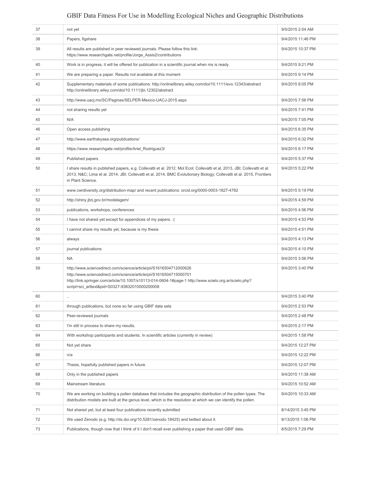| 37 | not yet                                                                                                                                                                                                                                                                                              | 9/5/2015 2:04 AM  |
|----|------------------------------------------------------------------------------------------------------------------------------------------------------------------------------------------------------------------------------------------------------------------------------------------------------|-------------------|
| 38 | Papers, figshare                                                                                                                                                                                                                                                                                     | 9/4/2015 11:46 PM |
| 39 | All results are published in peer reviewed journals. Please follow this link:<br>https://www.researchgate.net/profile/Jorge_Assis2/contributions                                                                                                                                                     | 9/4/2015 10:37 PM |
| 40 | Work is in progress, it will be offered for publication in a scientific journal when ms is ready                                                                                                                                                                                                     | 9/4/2015 9:21 PM  |
| 41 | We are preparing a paper. Results not available at this moment                                                                                                                                                                                                                                       | 9/4/2015 9:14 PM  |
| 42 | Supplementary materials of some publications: http://onlinelibrary.wiley.com/doi/10.1111/evo.12343/abstract<br>http://onlinelibrary.wiley.com/doi/10.1111/jbi.12302/abstract                                                                                                                         | 9/4/2015 8:05 PM  |
| 43 | http://www.uacj.mx/SC/Paginas/SELPER-Mexico-UACJ-2015.aspx                                                                                                                                                                                                                                           | 9/4/2015 7:56 PM  |
| 44 | not sharing results yet                                                                                                                                                                                                                                                                              | 9/4/2015 7:41 PM  |
| 45 | N/A                                                                                                                                                                                                                                                                                                  | 9/4/2015 7:05 PM  |
| 46 | Open access publishing                                                                                                                                                                                                                                                                               | 9/4/2015 6:35 PM  |
| 47 | http://www.earthskysea.org/publications/                                                                                                                                                                                                                                                             | 9/4/2015 6:32 PM  |
| 48 | https://www.researchgate.net/profile/Ariel Rodriguez3/                                                                                                                                                                                                                                               | 9/4/2015 6:17 PM  |
| 49 | Published papers                                                                                                                                                                                                                                                                                     | 9/4/2015 5:37 PM  |
| 50 | I share results in published papers, e.g. Collevatti et al. 2012, Mol Ecol; Collevatti et al. 2013, JBI; Collevatti et al.<br>2013, N&C Lima et al. 2014, JBI; Collevatti et al. 2014, BMC Evolutionary Biology; Collevatti et al. 2015, Frontiers<br>in Plant Science.                              | 9/4/2015 5:22 PM  |
| 51 | www.cwrdiversity.org/distribution-map/ and recent publications: orcid.org/0000-0003-1827-4782                                                                                                                                                                                                        | 9/4/2015 5:19 PM  |
| 52 | http://shiny.jbrj.gov.br/modelagem/                                                                                                                                                                                                                                                                  | 9/4/2015 4:59 PM  |
| 53 | publications, workshops, conferences                                                                                                                                                                                                                                                                 | 9/4/2015 4:56 PM  |
| 54 | I have not shared yet except for appendices of my papers. : (                                                                                                                                                                                                                                        | 9/4/2015 4:53 PM  |
| 55 | I cannot share my results yet, because is my thesis                                                                                                                                                                                                                                                  | 9/4/2015 4:51 PM  |
| 56 | always                                                                                                                                                                                                                                                                                               | 9/4/2015 4:13 PM  |
| 57 | journal publications                                                                                                                                                                                                                                                                                 | 9/4/2015 4:10 PM  |
| 58 | <b>NA</b>                                                                                                                                                                                                                                                                                            | 9/4/2015 3:56 PM  |
| 59 | http://www.sciencedirect.com/science/article/pii/S1616504712000626<br>http://www.sciencedirect.com/science/article/pii/S1616504715000701<br>http://link.springer.com/article/10.1007/s10113-014-0604-1#page-1 http://www.scielo.org.ar/scielo.php?<br>script=sci arttext&pid=S0327-93832010000200008 | 9/4/2015 3:40 PM  |
| 60 |                                                                                                                                                                                                                                                                                                      | 9/4/2015 3:40 PM  |
| 61 | through publications, but none so far using GBIF data sets                                                                                                                                                                                                                                           | 9/4/2015 2:53 PM  |
| 62 | Peer-reviewed journals                                                                                                                                                                                                                                                                               | 9/4/2015 2:48 PM  |
| 63 | I'm still in process to share my results.                                                                                                                                                                                                                                                            | 9/4/2015 2:17 PM  |
| 64 | With workshop participants and students. In scientific articles (currently in review)                                                                                                                                                                                                                | 9/4/2015 1:58 PM  |
| 65 | Not yet share                                                                                                                                                                                                                                                                                        | 9/4/2015 12:27 PM |
| 66 | n/a                                                                                                                                                                                                                                                                                                  | 9/4/2015 12:22 PM |
| 67 | Thesis, hopefully published papers in future.                                                                                                                                                                                                                                                        | 9/4/2015 12:07 PM |
| 68 | Only in the published papers                                                                                                                                                                                                                                                                         | 9/4/2015 11:38 AM |
| 69 | Mainstream literature.                                                                                                                                                                                                                                                                               | 9/4/2015 10:52 AM |
| 70 | We are working on building a pollen database that includes the geographic distribution of the pollen types. The<br>distribution models are built at the genus level, which is the resolution at which we can identify the pollen.                                                                    | 9/4/2015 10:33 AM |
| 71 | Not shared yet, but at least four publications recently submitted                                                                                                                                                                                                                                    | 8/14/2015 3:45 PM |
| 72 | We used Zenodo (e.g. http://dx.doi.org/10.5281/zenodo.18425) and twitted about it.                                                                                                                                                                                                                   | 8/13/2015 1:06 PM |
| 73 | Publications, though now that I think of it I don't recall ever publishing a paper that used GBIF data.                                                                                                                                                                                              | 8/5/2015 7:29 PM  |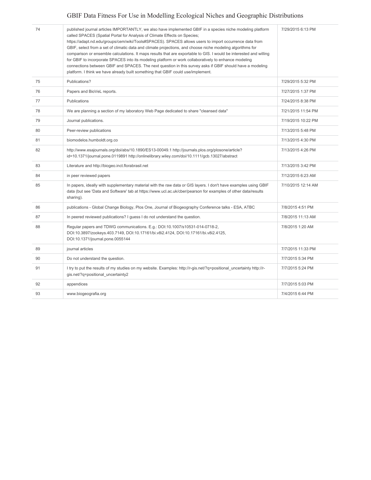| 74 | published journal articles IMPORTANTLY, we also have implemented GBIF in a species niche modeling platform<br>called SPACES (Spatial Portal for Analysis of Climate Effects on Species;<br>https://adapt.nd.edu/groups/cem/wiki/Tools#SPACES). SPACES allows users to import occurrence data from<br>GBIF, select from a set of climatic data and climate projections, and choose niche modeling algorithms for<br>comparison or ensemble calculations. It maps results that are exportable to GIS. I would be interested and willing<br>for GBIF to incorporate SPACES into its modeling platform or work collaboratively to enhance modeling<br>connections between GBIF and SPACES. The next question in this survey asks if GBIF should have a modeling<br>platform. I think we have already built something that GBIF could use/implement. | 7/29/2015 6:13 PM  |
|----|-------------------------------------------------------------------------------------------------------------------------------------------------------------------------------------------------------------------------------------------------------------------------------------------------------------------------------------------------------------------------------------------------------------------------------------------------------------------------------------------------------------------------------------------------------------------------------------------------------------------------------------------------------------------------------------------------------------------------------------------------------------------------------------------------------------------------------------------------|--------------------|
| 75 | Publications?                                                                                                                                                                                                                                                                                                                                                                                                                                                                                                                                                                                                                                                                                                                                                                                                                                   | 7/29/2015 5:32 PM  |
| 76 | Papers and BioVeL reports.                                                                                                                                                                                                                                                                                                                                                                                                                                                                                                                                                                                                                                                                                                                                                                                                                      | 7/27/2015 1:37 PM  |
| 77 | Publications                                                                                                                                                                                                                                                                                                                                                                                                                                                                                                                                                                                                                                                                                                                                                                                                                                    | 7/24/2015 8:38 PM  |
| 78 | We are planning a section of my laboratory Web Page dedicated to share "cleansed data"                                                                                                                                                                                                                                                                                                                                                                                                                                                                                                                                                                                                                                                                                                                                                          | 7/21/2015 11:54 PM |
| 79 | Journal publications.                                                                                                                                                                                                                                                                                                                                                                                                                                                                                                                                                                                                                                                                                                                                                                                                                           | 7/19/2015 10:22 PM |
| 80 | Peer-review publications                                                                                                                                                                                                                                                                                                                                                                                                                                                                                                                                                                                                                                                                                                                                                                                                                        | 7/13/2015 5:48 PM  |
| 81 | biomodelos.humboldt.org.co                                                                                                                                                                                                                                                                                                                                                                                                                                                                                                                                                                                                                                                                                                                                                                                                                      | 7/13/2015 4:30 PM  |
| 82 | http://www.esajournals.org/doi/abs/10.1890/ES13-00049.1 http://journals.plos.org/plosone/article?<br>id=10.1371/journal.pone.0119891 http://onlinelibrary.wiley.com/doi/10.1111/gcb.13027/abstract                                                                                                                                                                                                                                                                                                                                                                                                                                                                                                                                                                                                                                              | 7/13/2015 4:26 PM  |
| 83 | Literature and http://biogeo.inct.florabrasil.net                                                                                                                                                                                                                                                                                                                                                                                                                                                                                                                                                                                                                                                                                                                                                                                               | 7/13/2015 3:42 PM  |
| 84 | in peer reviewed papers                                                                                                                                                                                                                                                                                                                                                                                                                                                                                                                                                                                                                                                                                                                                                                                                                         | 7/12/2015 6:23 AM  |
| 85 | In papers, ideally with supplementary material with the raw data or GIS layers. I don't have examples using GBIF<br>data (but see 'Data and Software' tab at https://www.ucl.ac.uk/cber/pearson for examples of other data/results<br>sharing).                                                                                                                                                                                                                                                                                                                                                                                                                                                                                                                                                                                                 | 7/10/2015 12:14 AM |
| 86 | publications - Global Change Biology, Plos One, Journal of Biogeography Conference talks - ESA, ATBC                                                                                                                                                                                                                                                                                                                                                                                                                                                                                                                                                                                                                                                                                                                                            | 7/8/2015 4:51 PM   |
| 87 | In peered reviewed publications? I quess I do not understand the question.                                                                                                                                                                                                                                                                                                                                                                                                                                                                                                                                                                                                                                                                                                                                                                      | 7/8/2015 11:13 AM  |
| 88 | Regular papers and TDWG communications. E.g.: DOI:10.1007/s10531-014-0718-2,<br>DOI:10.3897/zookeys.403.7149, DOI:10.17161/bi.v8i2.4124, DOI:10.17161/bi.v8i2.4125,<br>DOI:10.1371/journal.pone.0055144                                                                                                                                                                                                                                                                                                                                                                                                                                                                                                                                                                                                                                         | 7/8/2015 1:20 AM   |
| 89 | journal articles                                                                                                                                                                                                                                                                                                                                                                                                                                                                                                                                                                                                                                                                                                                                                                                                                                | 7/7/2015 11:33 PM  |
| 90 | Do not understand the question.                                                                                                                                                                                                                                                                                                                                                                                                                                                                                                                                                                                                                                                                                                                                                                                                                 | 7/7/2015 5:34 PM   |
| 91 | I try to put the results of my studies on my website. Examples: http://r-gis.net/?q=positional_uncertainty http://r-<br>gis.net/?q=positional uncertainty2                                                                                                                                                                                                                                                                                                                                                                                                                                                                                                                                                                                                                                                                                      | 7/7/2015 5:24 PM   |
| 92 | appendices                                                                                                                                                                                                                                                                                                                                                                                                                                                                                                                                                                                                                                                                                                                                                                                                                                      | 7/7/2015 5:03 PM   |
| 93 | www.biogeografia.org                                                                                                                                                                                                                                                                                                                                                                                                                                                                                                                                                                                                                                                                                                                                                                                                                            | 7/4/2015 6:44 PM   |
|    |                                                                                                                                                                                                                                                                                                                                                                                                                                                                                                                                                                                                                                                                                                                                                                                                                                                 |                    |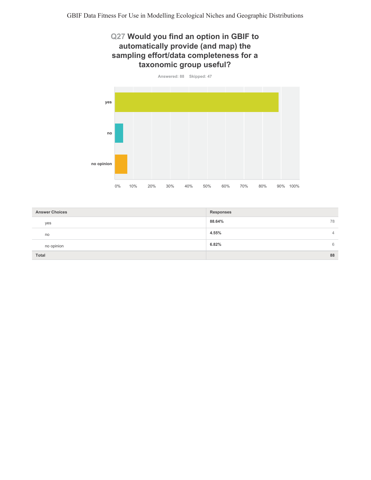## Q27 Would you find an option in GBIF to automatically provide (and map) the sampling effort/data completeness for a taxonomic group useful?



| <b>Answer Choices</b> | <b>Responses</b> |
|-----------------------|------------------|
| yes                   | 88.64%<br>78     |
| no                    | 4.55%<br>4       |
| no opinion            | 6.82%<br>6       |
| Total                 | 88               |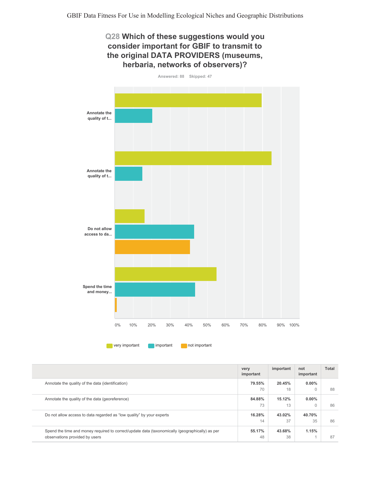## Q28 Which of these suggestions would you consider important for GBIF to transmit to the original DATA PROVIDERS (museums, herbaria, networks of observers)?



|                                                                                                 | very<br>important | important | not<br>important | Total |
|-------------------------------------------------------------------------------------------------|-------------------|-----------|------------------|-------|
| Annotate the quality of the data (identification)                                               | 79.55%            | 20.45%    | $0.00\%$         |       |
|                                                                                                 | 70                | 18        | $\Omega$         | 88    |
| Annotate the quality of the data (georeference)                                                 | 84.88%            | 15.12%    | $0.00\%$         |       |
|                                                                                                 | 73                | 13        | $\Omega$         | 86    |
| Do not allow access to data regarded as "low quality" by your experts                           | 16.28%            | 43.02%    | 40.70%           |       |
|                                                                                                 | 14                | 37        | 35               | 86    |
| Spend the time and money required to correct/update data (taxonomically /qeographically) as per | 55.17%            | 43.68%    | 1.15%            |       |
| observations provided by users                                                                  | 48                | 38        |                  | 87    |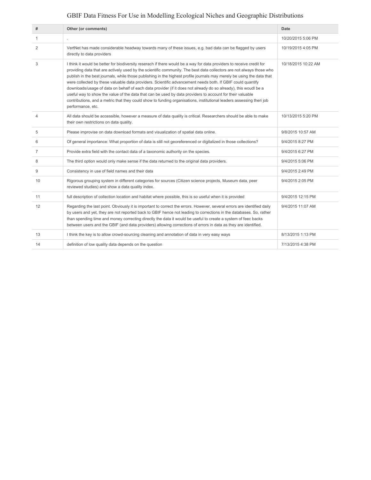| #              | Other (or comments)                                                                                                                                                                                                                                                                                                                                                                                                                                                                                                                                                                                                                                                                                                                                                                                                                                                | Date                |
|----------------|--------------------------------------------------------------------------------------------------------------------------------------------------------------------------------------------------------------------------------------------------------------------------------------------------------------------------------------------------------------------------------------------------------------------------------------------------------------------------------------------------------------------------------------------------------------------------------------------------------------------------------------------------------------------------------------------------------------------------------------------------------------------------------------------------------------------------------------------------------------------|---------------------|
| 1              |                                                                                                                                                                                                                                                                                                                                                                                                                                                                                                                                                                                                                                                                                                                                                                                                                                                                    | 10/20/2015 5:06 PM  |
| 2              | VertNet has made considerable headway towards many of these issues, e.g. bad data can be flagged by users<br>directly to data providers                                                                                                                                                                                                                                                                                                                                                                                                                                                                                                                                                                                                                                                                                                                            | 10/19/2015 4:05 PM  |
| 3              | I think it would be better for biodiversity reserach if there would be a way for data providers to receive credit for<br>providing data that are actively used by the scientific community. The best data collectors are not always those who<br>publish in the best journals, while those publishing in the highest profile journals may merely be using the data that<br>were collected by these valuable data providers. Scientific advancement needs both. If GBIF could quantify<br>downloads/usage of data on behalf of each data provider (if it does not already do so already), this woudl be a<br>useful way to show the value of the data that can be used by data providers to account for their valuable<br>contributions, and a metric that they could show to funding organisations, institutional leaders assessing theri job<br>performance, etc. | 10/18/2015 10:22 AM |
| $\overline{4}$ | All data should be accessible, however a measure of data quality is critical. Researchers should be able to make<br>their own restrictions on data quality.                                                                                                                                                                                                                                                                                                                                                                                                                                                                                                                                                                                                                                                                                                        | 10/13/2015 5:20 PM  |
| 5              | Please improvise on data download formats and visualization of spatial data online.                                                                                                                                                                                                                                                                                                                                                                                                                                                                                                                                                                                                                                                                                                                                                                                | 9/8/2015 10:57 AM   |
| 6              | Of general importance: What proportion of data is still not georeferenced or digitalized in those collections?                                                                                                                                                                                                                                                                                                                                                                                                                                                                                                                                                                                                                                                                                                                                                     | 9/4/2015 8:27 PM    |
| $\overline{7}$ | Provide extra field with the contact data of a taxonomic authority on the species.                                                                                                                                                                                                                                                                                                                                                                                                                                                                                                                                                                                                                                                                                                                                                                                 | 9/4/2015 6:27 PM    |
| 8              | The third option would only make sense if the data returned to the original data providers.                                                                                                                                                                                                                                                                                                                                                                                                                                                                                                                                                                                                                                                                                                                                                                        | 9/4/2015 5:06 PM    |
| 9              | Consistency in use of field names and their data                                                                                                                                                                                                                                                                                                                                                                                                                                                                                                                                                                                                                                                                                                                                                                                                                   | 9/4/2015 2:49 PM    |
| 10             | Rigorous grouping system in different categories for sources (Citizen science projects, Museum data, peer<br>reviewed studies) and show a data quality index.                                                                                                                                                                                                                                                                                                                                                                                                                                                                                                                                                                                                                                                                                                      | 9/4/2015 2:05 PM    |
| 11             | full description of collection location and habitat where possible, this is so useful when it is provided                                                                                                                                                                                                                                                                                                                                                                                                                                                                                                                                                                                                                                                                                                                                                          | 9/4/2015 12:15 PM   |
| 12             | Regarding the last point. Obviously it is important to correct the errors. However, several errors are identified daily<br>by users and yet, they are not reported back to GBIF hence not leading to corrections in the databases. So, rather<br>than spending time and money correcting directly the data it would be useful to create a system of feec backs<br>between users and the GBIF (and data providers) allowing corrections of errors in data as they are identified.                                                                                                                                                                                                                                                                                                                                                                                   | 9/4/2015 11:07 AM   |
| 13             | I think the key is to allow crowd-sourcing cleaning and annotation of data in very easy ways                                                                                                                                                                                                                                                                                                                                                                                                                                                                                                                                                                                                                                                                                                                                                                       | 8/13/2015 1:13 PM   |
| 14             | definition of low quality data depends on the question                                                                                                                                                                                                                                                                                                                                                                                                                                                                                                                                                                                                                                                                                                                                                                                                             | 7/13/2015 4:38 PM   |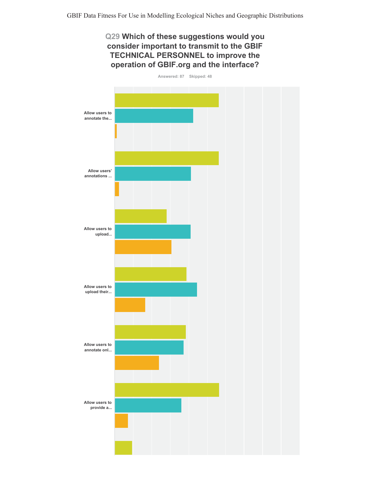## Q29 Which of these suggestions would you consider important to transmit to the GBIF TECHNICAL PERSONNEL to improve the operation of GBIF.org and the interface?

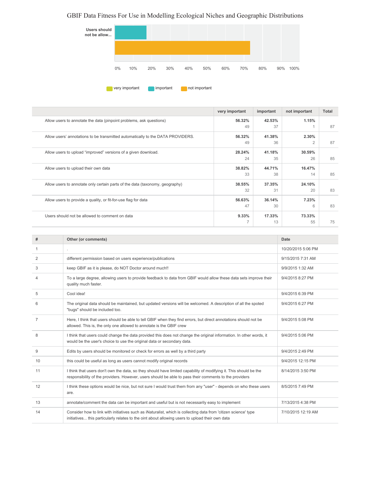

| 42.53%<br>56.32%<br>1.15%<br>Allow users to annotate the data (pinpoint problems, ask questions)<br>37<br>87<br>49<br>41.38%<br>2.30%<br>Allow users' annotations to be transmitted automatically to the DATA PROVIDERS.<br>56.32%<br>49<br>36<br>$\overline{2}$<br>87<br>28.24%<br>41.18%<br>Allow users to upload "improved" versions of a given download.<br>30.59%<br>24<br>35<br>26<br>85<br>44.71%<br>38.82%<br>16.47%<br>Allow users to upload their own data<br>33<br>38<br>85<br>14<br>37.35%<br>Allow users to annotate only certain parts of the data (taxonomy, geography)<br>38.55%<br>24.10%<br>32<br>31<br>83<br>20<br>7.23%<br>56.63%<br>36.14%<br>Allow users to provide a quality, or fit-for-use flag for data<br>47<br>30<br>83<br>6<br>9.33%<br>Users should not be allowed to comment on data<br>17.33%<br>73.33%<br>7<br>13<br>55<br>75 | very important | important | not important | Total |
|----------------------------------------------------------------------------------------------------------------------------------------------------------------------------------------------------------------------------------------------------------------------------------------------------------------------------------------------------------------------------------------------------------------------------------------------------------------------------------------------------------------------------------------------------------------------------------------------------------------------------------------------------------------------------------------------------------------------------------------------------------------------------------------------------------------------------------------------------------------|----------------|-----------|---------------|-------|
|                                                                                                                                                                                                                                                                                                                                                                                                                                                                                                                                                                                                                                                                                                                                                                                                                                                                |                |           |               |       |
|                                                                                                                                                                                                                                                                                                                                                                                                                                                                                                                                                                                                                                                                                                                                                                                                                                                                |                |           |               |       |
|                                                                                                                                                                                                                                                                                                                                                                                                                                                                                                                                                                                                                                                                                                                                                                                                                                                                |                |           |               |       |
|                                                                                                                                                                                                                                                                                                                                                                                                                                                                                                                                                                                                                                                                                                                                                                                                                                                                |                |           |               |       |
|                                                                                                                                                                                                                                                                                                                                                                                                                                                                                                                                                                                                                                                                                                                                                                                                                                                                |                |           |               |       |
|                                                                                                                                                                                                                                                                                                                                                                                                                                                                                                                                                                                                                                                                                                                                                                                                                                                                |                |           |               |       |
|                                                                                                                                                                                                                                                                                                                                                                                                                                                                                                                                                                                                                                                                                                                                                                                                                                                                |                |           |               |       |
|                                                                                                                                                                                                                                                                                                                                                                                                                                                                                                                                                                                                                                                                                                                                                                                                                                                                |                |           |               |       |
|                                                                                                                                                                                                                                                                                                                                                                                                                                                                                                                                                                                                                                                                                                                                                                                                                                                                |                |           |               |       |
|                                                                                                                                                                                                                                                                                                                                                                                                                                                                                                                                                                                                                                                                                                                                                                                                                                                                |                |           |               |       |
|                                                                                                                                                                                                                                                                                                                                                                                                                                                                                                                                                                                                                                                                                                                                                                                                                                                                |                |           |               |       |
|                                                                                                                                                                                                                                                                                                                                                                                                                                                                                                                                                                                                                                                                                                                                                                                                                                                                |                |           |               |       |
|                                                                                                                                                                                                                                                                                                                                                                                                                                                                                                                                                                                                                                                                                                                                                                                                                                                                |                |           |               |       |
|                                                                                                                                                                                                                                                                                                                                                                                                                                                                                                                                                                                                                                                                                                                                                                                                                                                                |                |           |               |       |

| #  | Other (or comments)                                                                                                                                                                                                         | Date               |
|----|-----------------------------------------------------------------------------------------------------------------------------------------------------------------------------------------------------------------------------|--------------------|
| 1  |                                                                                                                                                                                                                             | 10/20/2015 5:06 PM |
| 2  | different permission based on users experience/publications                                                                                                                                                                 | 9/15/2015 7:31 AM  |
| 3  | keep GBIF as it is please, do NOT Doctor around much!!                                                                                                                                                                      | 9/9/2015 1:32 AM   |
| 4  | To a large degree, allowing users to provide feedback to data from GBIF would allow these data sets improve their<br>quality much faster.                                                                                   | 9/4/2015 8:27 PM   |
| 5  | Cool idea!                                                                                                                                                                                                                  | 9/4/2015 6:39 PM   |
| 6  | The original data should be maintained, but updated versions will be welcomed. A description of all the spoted<br>"bugs" should be included too.                                                                            | 9/4/2015 6:27 PM   |
| 7  | Here, I think that users should be able to tell GBIF when they find errors, but direct annotations should not be<br>allowed. This is, the only one allowed to annotate is the GBIF crew                                     | 9/4/2015 5:08 PM   |
| 8  | I think that users could change the data provided this does not change the original information. In other words, it<br>would be the user's choice to use the original data or secondary data.                               | 9/4/2015 5:06 PM   |
| 9  | Edits by users should be monitored or check for errors as well by a third party                                                                                                                                             | 9/4/2015 2:49 PM   |
| 10 | this could be useful as long as users cannot modify original records                                                                                                                                                        | 9/4/2015 12:15 PM  |
| 11 | I think that users don't own the data, so they should have limited capability of modifying it. This should be the<br>responsibility of the providers. However, users should be able to pass their comments to the providers | 8/14/2015 3:50 PM  |
| 12 | I think these options would be nice, but not sure I would trust them from any "user" - depends on who these users<br>are.                                                                                                   | 8/5/2015 7:49 PM   |
| 13 | annotate/comment the data can be important and useful but is not necessarily easy to implement                                                                                                                              | 7/13/2015 4:38 PM  |
| 14 | Consider how to link with initiatives such as iNaturalist, which is collecting data from 'citizen science' type<br>initiatives this particularly relates to the oint about allowing users to upload their own data          | 7/10/2015 12:19 AM |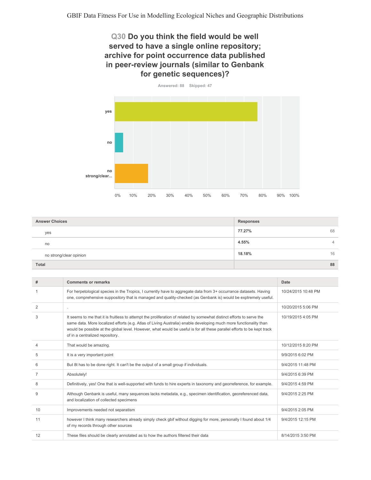## Q30 Do you think the field would be well served to have a single online repository; archive for point occurrence data published in peer-review journals (similar to Genbank for genetic sequences)?



| <b>Answer Choices</b>   | <b>Responses</b> |
|-------------------------|------------------|
| yes                     | 77.27%<br>68     |
| no                      | 4.55%            |
| no strong/clear opinion | 18.18%<br>16     |
| Total                   | 88               |

| #              | <b>Comments or remarks</b>                                                                                                                                                                                                                                                                                                                                                                               | Date                |
|----------------|----------------------------------------------------------------------------------------------------------------------------------------------------------------------------------------------------------------------------------------------------------------------------------------------------------------------------------------------------------------------------------------------------------|---------------------|
|                | For herpetological species in the Tropics, I currently have to aggregate data from 3+ occurrance datasets. Having<br>one, comprehensive suppository that is managed and quality-checked (as Genbank is) would be exptremely useful.                                                                                                                                                                      | 10/24/2015 10:48 PM |
| $\overline{2}$ | ×,                                                                                                                                                                                                                                                                                                                                                                                                       | 10/20/2015 5:06 PM  |
| 3              | It seems to me that it is fruitless to attempt the proliferation of related by somewhat distinct efforts to serve the<br>same data. More localized efforts (e.g. Atlas of Living Australia) enable developing much more functionality than<br>would be possible at the global level. However, what would be useful is for all these parallel efforts to be kept track<br>of in a centralized repository. | 10/19/2015 4:05 PM  |
| 4              | That would be amazing.                                                                                                                                                                                                                                                                                                                                                                                   | 10/12/2015 8:20 PM  |
| 5              | It is a very important point                                                                                                                                                                                                                                                                                                                                                                             | 9/9/2015 6:02 PM    |
| 6              | But 8t has to be done right. It can't be the output of a small group if individuals.                                                                                                                                                                                                                                                                                                                     | 9/4/2015 11:48 PM   |
| $\overline{7}$ | Absolutely!                                                                                                                                                                                                                                                                                                                                                                                              | 9/4/2015 6:39 PM    |
| 8              | Definitively, yes! One that is well-supported with funds to hire experts in taxonomy and georreference, for example.                                                                                                                                                                                                                                                                                     | 9/4/2015 4:59 PM    |
| 9              | Although Genbank is useful, many sequences lacks metadata, e.g., specimen identification, georeferenced data,<br>and localization of collected specimens                                                                                                                                                                                                                                                 | 9/4/2015 2:25 PM    |
| 10             | Improvements needed not separatism                                                                                                                                                                                                                                                                                                                                                                       | 9/4/2015 2:05 PM    |
| 11             | however I think many researchers already simply check gbif without digging for more, personally I found about 1/4<br>of my records through other sources                                                                                                                                                                                                                                                 | 9/4/2015 12:15 PM   |
| 12             | These files should be clearly annotated as to how the authors filtered their data                                                                                                                                                                                                                                                                                                                        | 8/14/2015 3:50 PM   |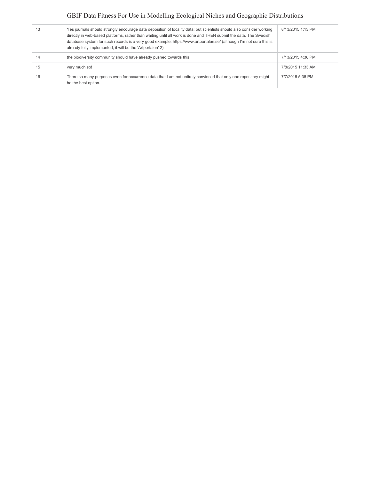| 13 | Yes journals should strongly encourage data deposition of locality data; but scientists should also consider working<br>directly in web-based platforms, rather than waiting until all work is done and THEN submit the data. The Swedish<br>database system for such records is a very good example: https://www.artportalen.se/ (although I'm not sure this is<br>already fully implemented, it will be the 'Artportalen' 2) | 8/13/2015 1:13 PM |
|----|--------------------------------------------------------------------------------------------------------------------------------------------------------------------------------------------------------------------------------------------------------------------------------------------------------------------------------------------------------------------------------------------------------------------------------|-------------------|
| 14 | the biodiversity community should have already pushed towards this                                                                                                                                                                                                                                                                                                                                                             | 7/13/2015 4:38 PM |
| 15 | very much so!                                                                                                                                                                                                                                                                                                                                                                                                                  | 7/8/2015 11:33 AM |
| 16 | There so many purposes even for occurrence data that I am not entirely convinced that only one repository might<br>be the best option.                                                                                                                                                                                                                                                                                         | 7/7/2015 5:38 PM  |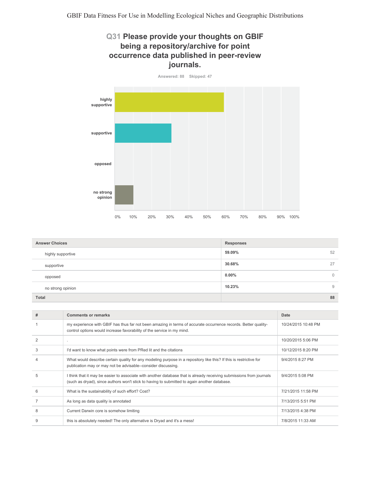## Q31 Please provide your thoughts on GBIF being a repository/archive for point occurrence data published in peer-review journals.



| <b>Answer Choices</b> | <b>Responses</b>        |
|-----------------------|-------------------------|
| highly supportive     | 52<br>59.09%            |
| supportive            | 30.68%<br>27            |
| opposed               | $0.00\%$<br>$\mathbf 0$ |
| no strong opinion     | 10.23%<br>9             |
| Total                 | 88                      |

| # | <b>Comments or remarks</b>                                                                                                                                                                                           | Date                |
|---|----------------------------------------------------------------------------------------------------------------------------------------------------------------------------------------------------------------------|---------------------|
|   | my experience with GBIF has thus far not been amazing in terms of accurate occurrence records. Better quality-<br>control options would increase favorability of the service in my mind.                             | 10/24/2015 10:48 PM |
|   |                                                                                                                                                                                                                      | 10/20/2015 5:06 PM  |
| 3 | I'd want to know what points were from PRed lit and the citations                                                                                                                                                    | 10/12/2015 8:20 PM  |
|   | What would describe certain quality for any modeling purpose in a repository like this? If this is restrictive for<br>publication may or may not be advisable--consider discussing.                                  | 9/4/2015 8:27 PM    |
| 5 | I think that it may be easier to associate with another database that is already receiving submissions from journals<br>(such as dryad), since authors won't stick to having to submitted to again another database. | 9/4/2015 5:08 PM    |
| 6 | What is the sustainability of such effort? Cost?                                                                                                                                                                     | 7/21/2015 11:58 PM  |
|   | As long as data quality is annotated                                                                                                                                                                                 | 7/13/2015 5:51 PM   |
| 8 | Current Darwin core is somehow limiting                                                                                                                                                                              | 7/13/2015 4:38 PM   |
|   | this is absolutely needed! The only alternative is Dryad and it's a mess!                                                                                                                                            | 7/8/2015 11:33 AM   |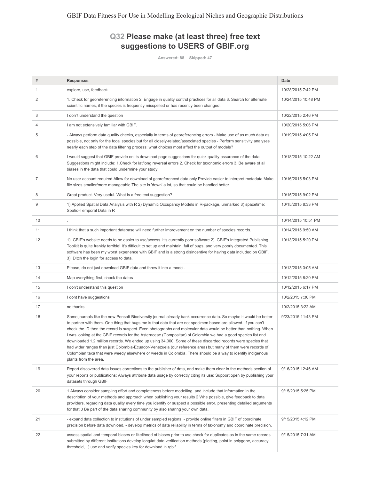## Q32 Please make (at least three) free text suggestions to USERS of GBIF.org

Answered: 88 Skipped: 47

| #              | <b>Responses</b>                                                                                                                                                                                                                                                                                                                                                                                                                                                                                                                                                                                                                                                                                                                                                                                                                              | Date                |
|----------------|-----------------------------------------------------------------------------------------------------------------------------------------------------------------------------------------------------------------------------------------------------------------------------------------------------------------------------------------------------------------------------------------------------------------------------------------------------------------------------------------------------------------------------------------------------------------------------------------------------------------------------------------------------------------------------------------------------------------------------------------------------------------------------------------------------------------------------------------------|---------------------|
| 1              | explore, use, feedback                                                                                                                                                                                                                                                                                                                                                                                                                                                                                                                                                                                                                                                                                                                                                                                                                        | 10/28/2015 7:42 PM  |
| 2              | 1. Check for georeferencing information 2. Engage in quality control practices for all data 3. Search for alternate<br>scientific names, if the species is frequently misspelled or has recently been changed.                                                                                                                                                                                                                                                                                                                                                                                                                                                                                                                                                                                                                                | 10/24/2015 10:48 PM |
| 3              | I don't understand the question                                                                                                                                                                                                                                                                                                                                                                                                                                                                                                                                                                                                                                                                                                                                                                                                               | 10/22/2015 2:46 PM  |
| 4              | I am not extensively familiar with GBIF.                                                                                                                                                                                                                                                                                                                                                                                                                                                                                                                                                                                                                                                                                                                                                                                                      | 10/20/2015 5:06 PM  |
| 5              | - Always perform data quality checks, especially in terms of georeferencing errors - Make use of as much data as<br>possible, not only for the focal species but for all closely-related/associated species - Perform sensitivity analyses<br>nearly each step of the data filtering process; what choices most affect the output of models?                                                                                                                                                                                                                                                                                                                                                                                                                                                                                                  | 10/19/2015 4:05 PM  |
| 6              | I would suggest that GBIF provide on its download page suggestions for quick quality assurance of the data.<br>Suggestions might include: 1. Check for lat/long reversal errors 2. Check for taxonomic errors 3. Be aware of all<br>biases in the data that could undermine your study.                                                                                                                                                                                                                                                                                                                                                                                                                                                                                                                                                       | 10/18/2015 10:22 AM |
| $\overline{7}$ | No user account required Allow for download of georeferenced data only Provide easier to interpret metadata Make<br>file sizes smaller/more manageable The site is 'down' a lot, so that could be handled better                                                                                                                                                                                                                                                                                                                                                                                                                                                                                                                                                                                                                              | 10/16/2015 5:03 PM  |
| 8              | Great product. Very useful. What is a free text suggestion?                                                                                                                                                                                                                                                                                                                                                                                                                                                                                                                                                                                                                                                                                                                                                                                   | 10/15/2015 9:02 PM  |
| 9              | 1) Applied Spatial Data Analysis with R 2) Dynamic Occupancy Models in R-package, unmarked 3) spacetime:<br>Spatio-Temporal Data in R                                                                                                                                                                                                                                                                                                                                                                                                                                                                                                                                                                                                                                                                                                         | 10/15/2015 8:33 PM  |
| 10             |                                                                                                                                                                                                                                                                                                                                                                                                                                                                                                                                                                                                                                                                                                                                                                                                                                               | 10/14/2015 10:51 PM |
| 11             | I think that a such important database will need further improvement on the number of species records.                                                                                                                                                                                                                                                                                                                                                                                                                                                                                                                                                                                                                                                                                                                                        | 10/14/2015 9:50 AM  |
| 12             | 1). GBIF's website needs to be easier to use/access. It's currently poor software 2). GBIF's Integrated Publishing<br>Toolkit is quite frankly terrible! It's difficult to set up and maintain, full of bugs, and very poorly documented. This<br>software has been my worst experience with GBIF and is a strong disincentive for having data included on GBIF.<br>3). Ditch the login for access to data.                                                                                                                                                                                                                                                                                                                                                                                                                                   | 10/13/2015 5:20 PM  |
| 13             | Please, do not just download GBIF data and throw it into a model.                                                                                                                                                                                                                                                                                                                                                                                                                                                                                                                                                                                                                                                                                                                                                                             | 10/13/2015 3:05 AM  |
| 14             | Map everything first, check the dates                                                                                                                                                                                                                                                                                                                                                                                                                                                                                                                                                                                                                                                                                                                                                                                                         | 10/12/2015 8:20 PM  |
| 15             | I don't understand this question                                                                                                                                                                                                                                                                                                                                                                                                                                                                                                                                                                                                                                                                                                                                                                                                              | 10/12/2015 6:17 PM  |
| 16             | I dont have suggestions                                                                                                                                                                                                                                                                                                                                                                                                                                                                                                                                                                                                                                                                                                                                                                                                                       | 10/2/2015 7:30 PM   |
| 17             | no thanks                                                                                                                                                                                                                                                                                                                                                                                                                                                                                                                                                                                                                                                                                                                                                                                                                                     | 10/2/2015 3:22 AM   |
| 18             | Some journals like the new Pensoft Biodiversity journal already bank occurrence data. So maybe it would be better<br>to partner with them. One thing that bugs me is that data that are not specimen based are allowed. If you can't<br>check the ID then the record is suspect. Even photographs and molecular data would be better than nothing. When<br>I was looking at the GBIF records for the Asteraceae (Compositae) of Colombia we had a good species list and<br>downloaded 1.2 million records. We ended up using 34,000. Some of these discarded records were species that<br>had wider ranges than just Colombia-Ecuador-Venezuela (our reference area) but many of them were records of<br>Colombian taxa that were weedy elsewhere or weeds in Colombia. There should be a way to identify indigenous<br>plants from the area. | 9/23/2015 11:43 PM  |
| 19             | Report discovered data issues corrections to the publisher of data, and make them clear in the methods section of<br>your reports or publications; Always attribute data usage by correctly citing its use; Support open by publishing your<br>datasets through GBIF                                                                                                                                                                                                                                                                                                                                                                                                                                                                                                                                                                          | 9/16/2015 12:46 AM  |
| 20             | 1 Always consider sampling effort and completeness before modelling, and include that information in the<br>description of your methods and approach when publishing your results 2 Whe possible, give feedback to data<br>providers, regarding data quality every time you identify or suspect a possible error, presenting detailed arguments<br>for that 3 Be part of the data sharing community by also sharing your own data.                                                                                                                                                                                                                                                                                                                                                                                                            | 9/15/2015 5:25 PM   |
| 21             | - expand data collection to institutions of under sampled regions. - provide online filters in GBIF of coordinate<br>precision before data download. - develop metrics of data reliability in terms of taxonomy and coordinate precision.                                                                                                                                                                                                                                                                                                                                                                                                                                                                                                                                                                                                     | 9/15/2015 4:12 PM   |
| 22             | assess spatial and temporal biases or likelihood of biases prior to use check for duplicates as in the same records<br>submitted by different institutions develop long/lat data verification methods (plotting, point in polygone, accuracy<br>threshold,) use and verify species key for download in rgbif                                                                                                                                                                                                                                                                                                                                                                                                                                                                                                                                  | 9/15/2015 7:31 AM   |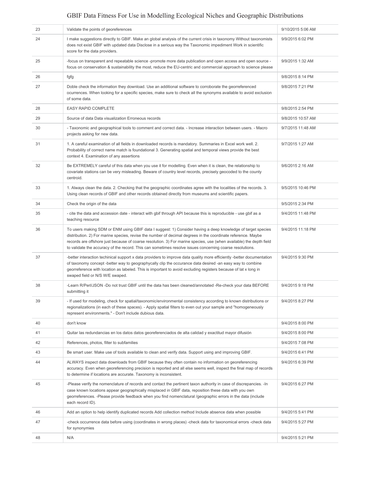| 23<br>Validate the points of georeferences<br>9/10/2015 5:06 AM<br>24<br>I make suggestions directly to GBIF. Make an global analysis of the current crisis in taxonomy Without taxonomists<br>9/9/2015 6:02 PM<br>does not exist GBIF with updated data Disclose in a serious way the Taxonomic impediment Work in scientific<br>score for the data providers.<br>25<br>-focus on transparent and repeatable science -promote more data publication and open access and open source -<br>9/9/2015 1:32 AM<br>focus on conservation & sustainability the most, reduce the EU-centric and commercial approach to science please<br>26<br>9/8/2015 8:14 PM<br>fgfg<br>Doble check the information they download. Use an additional software to corroborate the georreferenced<br>27<br>9/8/2015 7:21 PM<br>ocurrences. When looking for a specific species, make sure to check all the synonyms available to avoid exclusion<br>of some data.<br>EASY RAPID COMPLETE<br>28<br>9/8/2015 2:54 PM<br>29<br>Source of data Data visualization Erroneous records<br>9/8/2015 10:57 AM<br>30<br>- Taxonomic and geographical tools to comment and correct data. - Increase interaction between users. - Macro<br>9/7/2015 11:48 AM<br>projects asking for new data.<br>31<br>1. A careful examination of all fields in downloaded records is mandatory. Summaries in Excel work well. 2.<br>9/7/2015 1:27 AM<br>Probability of correct name match is foundational 3. Generating spatial and temporal views provide the best<br>context 4. Examination of any assertions<br>32<br>Be EXTREMELY careful of this data when you use it for modelling. Even when it is clean, the relationship to<br>9/6/2015 2:16 AM<br>covariate stations can be very misleading. Beware of country level records, precisely geocoded to the county<br>centroid.<br>33<br>1. Always clean the data. 2. Checking that the geographic coordinates agree with the localities of the records. 3.<br>9/5/2015 10:46 PM<br>Using clean records of GBIF and other records obtained directly from museums and scientific papers.<br>34<br>Check the origin of the data<br>9/5/2015 2:34 PM<br>35<br>- cite the data and accession date - interact with gbif through API because this is reproducible - use gbif as a<br>9/4/2015 11:48 PM<br>teaching resource<br>36<br>To users making SDM or ENM using GBIF data I suggest: 1) Consider having a deep knowledge of target species<br>9/4/2015 11:18 PM<br>distribution. 2) For marine species, revise the number of decimal degrees in the coordinate reference. Maybe<br>records are offshore just because of coarse resolution. 3) For marine species, use (when available) the depth field<br>to validate the accuracy of the record. This can sometimes resolve issues concerning coarse resolutions.<br>37<br>-better interaction techinical support x data providers to improve data quality more efficiently -better documentation<br>9/4/2015 9:30 PM<br>of taxonomy concept -better way to geographycally clip the occurance data desired -an easy way to combine<br>georreference with location as labeled. This is important to avoid excluding registers because of lat x long in<br>swaped field or N/S W/E swaped.<br>38<br>9/4/2015 9:18 PM<br>-Learn R/Perl/JSON -Do not trust GBIF until the data has been cleaned/annotated -Re-check your data BEFORE<br>submitting it<br>39<br>- If used for modeling, check for spatial/taxonomic/environmental consistency according to known distributions or<br>9/4/2015 8:27 PM<br>regionalizations (in each of these spaces). - Apply spatial filters to even out your sample and "homogeneously<br>represent environments." - Don't include dubious data.<br>40<br>9/4/2015 8:00 PM<br>don't know<br>41<br>Quitar las redundancias en los datos datos georeferenciados de alta calidad y exactitud mayor difusión<br>9/4/2015 8:00 PM<br>42<br>References, photos, filter to subfamilies<br>9/4/2015 7:08 PM<br>43<br>Be smart user. Make use of tools available to clean and verify data. Support using and improving GBIF.<br>9/4/2015 6:41 PM<br>44<br>ALWAYS inspect data downloads from GBIF because they often contain no information on georeferencing<br>9/4/2015 6:39 PM<br>accuracy. Even when georeferencing precision is reported and all else seems well, inspect the final map of records<br>to determine if locations are accurate. Taxonomy is inconsistent.<br>45<br>-Please verify the nomenclature of records and contact the pertinent taxon authority in case of discrepancies. - In<br>9/4/2015 6:27 PM<br>case known locations appear geographically misplaced in GBIF data, reposition these data with you own<br>georreferences. -Please provide feedback when you find nomenclatural /geographic errors in the data (include<br>each record ID).<br>46<br>Add an option to help identify duplicated records Add collection method Include absence data when possible<br>9/4/2015 5:41 PM<br>47<br>-check occurrence data before using (coordinates in wrong places) -check data for taxonomical errors -check data<br>9/4/2015 5:27 PM |  |  |
|--------------------------------------------------------------------------------------------------------------------------------------------------------------------------------------------------------------------------------------------------------------------------------------------------------------------------------------------------------------------------------------------------------------------------------------------------------------------------------------------------------------------------------------------------------------------------------------------------------------------------------------------------------------------------------------------------------------------------------------------------------------------------------------------------------------------------------------------------------------------------------------------------------------------------------------------------------------------------------------------------------------------------------------------------------------------------------------------------------------------------------------------------------------------------------------------------------------------------------------------------------------------------------------------------------------------------------------------------------------------------------------------------------------------------------------------------------------------------------------------------------------------------------------------------------------------------------------------------------------------------------------------------------------------------------------------------------------------------------------------------------------------------------------------------------------------------------------------------------------------------------------------------------------------------------------------------------------------------------------------------------------------------------------------------------------------------------------------------------------------------------------------------------------------------------------------------------------------------------------------------------------------------------------------------------------------------------------------------------------------------------------------------------------------------------------------------------------------------------------------------------------------------------------------------------------------------------------------------------------------------------------------------------------------------------------------------------------------------------------------------------------------------------------------------------------------------------------------------------------------------------------------------------------------------------------------------------------------------------------------------------------------------------------------------------------------------------------------------------------------------------------------------------------------------------------------------------------------------------------------------------------------------------------------------------------------------------------------------------------------------------------------------------------------------------------------------------------------------------------------------------------------------------------------------------------------------------------------------------------------------------------------------------------------------------------------------------------------------------------------------------------------------------------------------------------------------------------------------------------------------------------------------------------------------------------------------------------------------------------------------------------------------------------------------------------------------------------------------------------------------------------------------------------------------------------------------------------------------------------------------------------------------------------------------------------------------------------------------------------------------------------------------------------------------------------------------------------------------------------------------------------------------------------------------------------------------------------------------------------------------------------------------------------------------------------------------------------------------------------------------------------------------------------------------------------------------------------------------------------------------------------------------------------------------------------------------------------------------------------------------------------------------------------------------------------------------------------------------------------------------------------------|--|--|
|                                                                                                                                                                                                                                                                                                                                                                                                                                                                                                                                                                                                                                                                                                                                                                                                                                                                                                                                                                                                                                                                                                                                                                                                                                                                                                                                                                                                                                                                                                                                                                                                                                                                                                                                                                                                                                                                                                                                                                                                                                                                                                                                                                                                                                                                                                                                                                                                                                                                                                                                                                                                                                                                                                                                                                                                                                                                                                                                                                                                                                                                                                                                                                                                                                                                                                                                                                                                                                                                                                                                                                                                                                                                                                                                                                                                                                                                                                                                                                                                                                                                                                                                                                                                                                                                                                                                                                                                                                                                                                                                                                                                                                                                                                                                                                                                                                                                                                                                                                                                                                                                                                                                            |  |  |
|                                                                                                                                                                                                                                                                                                                                                                                                                                                                                                                                                                                                                                                                                                                                                                                                                                                                                                                                                                                                                                                                                                                                                                                                                                                                                                                                                                                                                                                                                                                                                                                                                                                                                                                                                                                                                                                                                                                                                                                                                                                                                                                                                                                                                                                                                                                                                                                                                                                                                                                                                                                                                                                                                                                                                                                                                                                                                                                                                                                                                                                                                                                                                                                                                                                                                                                                                                                                                                                                                                                                                                                                                                                                                                                                                                                                                                                                                                                                                                                                                                                                                                                                                                                                                                                                                                                                                                                                                                                                                                                                                                                                                                                                                                                                                                                                                                                                                                                                                                                                                                                                                                                                            |  |  |
|                                                                                                                                                                                                                                                                                                                                                                                                                                                                                                                                                                                                                                                                                                                                                                                                                                                                                                                                                                                                                                                                                                                                                                                                                                                                                                                                                                                                                                                                                                                                                                                                                                                                                                                                                                                                                                                                                                                                                                                                                                                                                                                                                                                                                                                                                                                                                                                                                                                                                                                                                                                                                                                                                                                                                                                                                                                                                                                                                                                                                                                                                                                                                                                                                                                                                                                                                                                                                                                                                                                                                                                                                                                                                                                                                                                                                                                                                                                                                                                                                                                                                                                                                                                                                                                                                                                                                                                                                                                                                                                                                                                                                                                                                                                                                                                                                                                                                                                                                                                                                                                                                                                                            |  |  |
|                                                                                                                                                                                                                                                                                                                                                                                                                                                                                                                                                                                                                                                                                                                                                                                                                                                                                                                                                                                                                                                                                                                                                                                                                                                                                                                                                                                                                                                                                                                                                                                                                                                                                                                                                                                                                                                                                                                                                                                                                                                                                                                                                                                                                                                                                                                                                                                                                                                                                                                                                                                                                                                                                                                                                                                                                                                                                                                                                                                                                                                                                                                                                                                                                                                                                                                                                                                                                                                                                                                                                                                                                                                                                                                                                                                                                                                                                                                                                                                                                                                                                                                                                                                                                                                                                                                                                                                                                                                                                                                                                                                                                                                                                                                                                                                                                                                                                                                                                                                                                                                                                                                                            |  |  |
|                                                                                                                                                                                                                                                                                                                                                                                                                                                                                                                                                                                                                                                                                                                                                                                                                                                                                                                                                                                                                                                                                                                                                                                                                                                                                                                                                                                                                                                                                                                                                                                                                                                                                                                                                                                                                                                                                                                                                                                                                                                                                                                                                                                                                                                                                                                                                                                                                                                                                                                                                                                                                                                                                                                                                                                                                                                                                                                                                                                                                                                                                                                                                                                                                                                                                                                                                                                                                                                                                                                                                                                                                                                                                                                                                                                                                                                                                                                                                                                                                                                                                                                                                                                                                                                                                                                                                                                                                                                                                                                                                                                                                                                                                                                                                                                                                                                                                                                                                                                                                                                                                                                                            |  |  |
|                                                                                                                                                                                                                                                                                                                                                                                                                                                                                                                                                                                                                                                                                                                                                                                                                                                                                                                                                                                                                                                                                                                                                                                                                                                                                                                                                                                                                                                                                                                                                                                                                                                                                                                                                                                                                                                                                                                                                                                                                                                                                                                                                                                                                                                                                                                                                                                                                                                                                                                                                                                                                                                                                                                                                                                                                                                                                                                                                                                                                                                                                                                                                                                                                                                                                                                                                                                                                                                                                                                                                                                                                                                                                                                                                                                                                                                                                                                                                                                                                                                                                                                                                                                                                                                                                                                                                                                                                                                                                                                                                                                                                                                                                                                                                                                                                                                                                                                                                                                                                                                                                                                                            |  |  |
|                                                                                                                                                                                                                                                                                                                                                                                                                                                                                                                                                                                                                                                                                                                                                                                                                                                                                                                                                                                                                                                                                                                                                                                                                                                                                                                                                                                                                                                                                                                                                                                                                                                                                                                                                                                                                                                                                                                                                                                                                                                                                                                                                                                                                                                                                                                                                                                                                                                                                                                                                                                                                                                                                                                                                                                                                                                                                                                                                                                                                                                                                                                                                                                                                                                                                                                                                                                                                                                                                                                                                                                                                                                                                                                                                                                                                                                                                                                                                                                                                                                                                                                                                                                                                                                                                                                                                                                                                                                                                                                                                                                                                                                                                                                                                                                                                                                                                                                                                                                                                                                                                                                                            |  |  |
|                                                                                                                                                                                                                                                                                                                                                                                                                                                                                                                                                                                                                                                                                                                                                                                                                                                                                                                                                                                                                                                                                                                                                                                                                                                                                                                                                                                                                                                                                                                                                                                                                                                                                                                                                                                                                                                                                                                                                                                                                                                                                                                                                                                                                                                                                                                                                                                                                                                                                                                                                                                                                                                                                                                                                                                                                                                                                                                                                                                                                                                                                                                                                                                                                                                                                                                                                                                                                                                                                                                                                                                                                                                                                                                                                                                                                                                                                                                                                                                                                                                                                                                                                                                                                                                                                                                                                                                                                                                                                                                                                                                                                                                                                                                                                                                                                                                                                                                                                                                                                                                                                                                                            |  |  |
|                                                                                                                                                                                                                                                                                                                                                                                                                                                                                                                                                                                                                                                                                                                                                                                                                                                                                                                                                                                                                                                                                                                                                                                                                                                                                                                                                                                                                                                                                                                                                                                                                                                                                                                                                                                                                                                                                                                                                                                                                                                                                                                                                                                                                                                                                                                                                                                                                                                                                                                                                                                                                                                                                                                                                                                                                                                                                                                                                                                                                                                                                                                                                                                                                                                                                                                                                                                                                                                                                                                                                                                                                                                                                                                                                                                                                                                                                                                                                                                                                                                                                                                                                                                                                                                                                                                                                                                                                                                                                                                                                                                                                                                                                                                                                                                                                                                                                                                                                                                                                                                                                                                                            |  |  |
|                                                                                                                                                                                                                                                                                                                                                                                                                                                                                                                                                                                                                                                                                                                                                                                                                                                                                                                                                                                                                                                                                                                                                                                                                                                                                                                                                                                                                                                                                                                                                                                                                                                                                                                                                                                                                                                                                                                                                                                                                                                                                                                                                                                                                                                                                                                                                                                                                                                                                                                                                                                                                                                                                                                                                                                                                                                                                                                                                                                                                                                                                                                                                                                                                                                                                                                                                                                                                                                                                                                                                                                                                                                                                                                                                                                                                                                                                                                                                                                                                                                                                                                                                                                                                                                                                                                                                                                                                                                                                                                                                                                                                                                                                                                                                                                                                                                                                                                                                                                                                                                                                                                                            |  |  |
|                                                                                                                                                                                                                                                                                                                                                                                                                                                                                                                                                                                                                                                                                                                                                                                                                                                                                                                                                                                                                                                                                                                                                                                                                                                                                                                                                                                                                                                                                                                                                                                                                                                                                                                                                                                                                                                                                                                                                                                                                                                                                                                                                                                                                                                                                                                                                                                                                                                                                                                                                                                                                                                                                                                                                                                                                                                                                                                                                                                                                                                                                                                                                                                                                                                                                                                                                                                                                                                                                                                                                                                                                                                                                                                                                                                                                                                                                                                                                                                                                                                                                                                                                                                                                                                                                                                                                                                                                                                                                                                                                                                                                                                                                                                                                                                                                                                                                                                                                                                                                                                                                                                                            |  |  |
|                                                                                                                                                                                                                                                                                                                                                                                                                                                                                                                                                                                                                                                                                                                                                                                                                                                                                                                                                                                                                                                                                                                                                                                                                                                                                                                                                                                                                                                                                                                                                                                                                                                                                                                                                                                                                                                                                                                                                                                                                                                                                                                                                                                                                                                                                                                                                                                                                                                                                                                                                                                                                                                                                                                                                                                                                                                                                                                                                                                                                                                                                                                                                                                                                                                                                                                                                                                                                                                                                                                                                                                                                                                                                                                                                                                                                                                                                                                                                                                                                                                                                                                                                                                                                                                                                                                                                                                                                                                                                                                                                                                                                                                                                                                                                                                                                                                                                                                                                                                                                                                                                                                                            |  |  |
|                                                                                                                                                                                                                                                                                                                                                                                                                                                                                                                                                                                                                                                                                                                                                                                                                                                                                                                                                                                                                                                                                                                                                                                                                                                                                                                                                                                                                                                                                                                                                                                                                                                                                                                                                                                                                                                                                                                                                                                                                                                                                                                                                                                                                                                                                                                                                                                                                                                                                                                                                                                                                                                                                                                                                                                                                                                                                                                                                                                                                                                                                                                                                                                                                                                                                                                                                                                                                                                                                                                                                                                                                                                                                                                                                                                                                                                                                                                                                                                                                                                                                                                                                                                                                                                                                                                                                                                                                                                                                                                                                                                                                                                                                                                                                                                                                                                                                                                                                                                                                                                                                                                                            |  |  |
|                                                                                                                                                                                                                                                                                                                                                                                                                                                                                                                                                                                                                                                                                                                                                                                                                                                                                                                                                                                                                                                                                                                                                                                                                                                                                                                                                                                                                                                                                                                                                                                                                                                                                                                                                                                                                                                                                                                                                                                                                                                                                                                                                                                                                                                                                                                                                                                                                                                                                                                                                                                                                                                                                                                                                                                                                                                                                                                                                                                                                                                                                                                                                                                                                                                                                                                                                                                                                                                                                                                                                                                                                                                                                                                                                                                                                                                                                                                                                                                                                                                                                                                                                                                                                                                                                                                                                                                                                                                                                                                                                                                                                                                                                                                                                                                                                                                                                                                                                                                                                                                                                                                                            |  |  |
|                                                                                                                                                                                                                                                                                                                                                                                                                                                                                                                                                                                                                                                                                                                                                                                                                                                                                                                                                                                                                                                                                                                                                                                                                                                                                                                                                                                                                                                                                                                                                                                                                                                                                                                                                                                                                                                                                                                                                                                                                                                                                                                                                                                                                                                                                                                                                                                                                                                                                                                                                                                                                                                                                                                                                                                                                                                                                                                                                                                                                                                                                                                                                                                                                                                                                                                                                                                                                                                                                                                                                                                                                                                                                                                                                                                                                                                                                                                                                                                                                                                                                                                                                                                                                                                                                                                                                                                                                                                                                                                                                                                                                                                                                                                                                                                                                                                                                                                                                                                                                                                                                                                                            |  |  |
|                                                                                                                                                                                                                                                                                                                                                                                                                                                                                                                                                                                                                                                                                                                                                                                                                                                                                                                                                                                                                                                                                                                                                                                                                                                                                                                                                                                                                                                                                                                                                                                                                                                                                                                                                                                                                                                                                                                                                                                                                                                                                                                                                                                                                                                                                                                                                                                                                                                                                                                                                                                                                                                                                                                                                                                                                                                                                                                                                                                                                                                                                                                                                                                                                                                                                                                                                                                                                                                                                                                                                                                                                                                                                                                                                                                                                                                                                                                                                                                                                                                                                                                                                                                                                                                                                                                                                                                                                                                                                                                                                                                                                                                                                                                                                                                                                                                                                                                                                                                                                                                                                                                                            |  |  |
|                                                                                                                                                                                                                                                                                                                                                                                                                                                                                                                                                                                                                                                                                                                                                                                                                                                                                                                                                                                                                                                                                                                                                                                                                                                                                                                                                                                                                                                                                                                                                                                                                                                                                                                                                                                                                                                                                                                                                                                                                                                                                                                                                                                                                                                                                                                                                                                                                                                                                                                                                                                                                                                                                                                                                                                                                                                                                                                                                                                                                                                                                                                                                                                                                                                                                                                                                                                                                                                                                                                                                                                                                                                                                                                                                                                                                                                                                                                                                                                                                                                                                                                                                                                                                                                                                                                                                                                                                                                                                                                                                                                                                                                                                                                                                                                                                                                                                                                                                                                                                                                                                                                                            |  |  |
|                                                                                                                                                                                                                                                                                                                                                                                                                                                                                                                                                                                                                                                                                                                                                                                                                                                                                                                                                                                                                                                                                                                                                                                                                                                                                                                                                                                                                                                                                                                                                                                                                                                                                                                                                                                                                                                                                                                                                                                                                                                                                                                                                                                                                                                                                                                                                                                                                                                                                                                                                                                                                                                                                                                                                                                                                                                                                                                                                                                                                                                                                                                                                                                                                                                                                                                                                                                                                                                                                                                                                                                                                                                                                                                                                                                                                                                                                                                                                                                                                                                                                                                                                                                                                                                                                                                                                                                                                                                                                                                                                                                                                                                                                                                                                                                                                                                                                                                                                                                                                                                                                                                                            |  |  |
|                                                                                                                                                                                                                                                                                                                                                                                                                                                                                                                                                                                                                                                                                                                                                                                                                                                                                                                                                                                                                                                                                                                                                                                                                                                                                                                                                                                                                                                                                                                                                                                                                                                                                                                                                                                                                                                                                                                                                                                                                                                                                                                                                                                                                                                                                                                                                                                                                                                                                                                                                                                                                                                                                                                                                                                                                                                                                                                                                                                                                                                                                                                                                                                                                                                                                                                                                                                                                                                                                                                                                                                                                                                                                                                                                                                                                                                                                                                                                                                                                                                                                                                                                                                                                                                                                                                                                                                                                                                                                                                                                                                                                                                                                                                                                                                                                                                                                                                                                                                                                                                                                                                                            |  |  |
|                                                                                                                                                                                                                                                                                                                                                                                                                                                                                                                                                                                                                                                                                                                                                                                                                                                                                                                                                                                                                                                                                                                                                                                                                                                                                                                                                                                                                                                                                                                                                                                                                                                                                                                                                                                                                                                                                                                                                                                                                                                                                                                                                                                                                                                                                                                                                                                                                                                                                                                                                                                                                                                                                                                                                                                                                                                                                                                                                                                                                                                                                                                                                                                                                                                                                                                                                                                                                                                                                                                                                                                                                                                                                                                                                                                                                                                                                                                                                                                                                                                                                                                                                                                                                                                                                                                                                                                                                                                                                                                                                                                                                                                                                                                                                                                                                                                                                                                                                                                                                                                                                                                                            |  |  |
|                                                                                                                                                                                                                                                                                                                                                                                                                                                                                                                                                                                                                                                                                                                                                                                                                                                                                                                                                                                                                                                                                                                                                                                                                                                                                                                                                                                                                                                                                                                                                                                                                                                                                                                                                                                                                                                                                                                                                                                                                                                                                                                                                                                                                                                                                                                                                                                                                                                                                                                                                                                                                                                                                                                                                                                                                                                                                                                                                                                                                                                                                                                                                                                                                                                                                                                                                                                                                                                                                                                                                                                                                                                                                                                                                                                                                                                                                                                                                                                                                                                                                                                                                                                                                                                                                                                                                                                                                                                                                                                                                                                                                                                                                                                                                                                                                                                                                                                                                                                                                                                                                                                                            |  |  |
|                                                                                                                                                                                                                                                                                                                                                                                                                                                                                                                                                                                                                                                                                                                                                                                                                                                                                                                                                                                                                                                                                                                                                                                                                                                                                                                                                                                                                                                                                                                                                                                                                                                                                                                                                                                                                                                                                                                                                                                                                                                                                                                                                                                                                                                                                                                                                                                                                                                                                                                                                                                                                                                                                                                                                                                                                                                                                                                                                                                                                                                                                                                                                                                                                                                                                                                                                                                                                                                                                                                                                                                                                                                                                                                                                                                                                                                                                                                                                                                                                                                                                                                                                                                                                                                                                                                                                                                                                                                                                                                                                                                                                                                                                                                                                                                                                                                                                                                                                                                                                                                                                                                                            |  |  |
|                                                                                                                                                                                                                                                                                                                                                                                                                                                                                                                                                                                                                                                                                                                                                                                                                                                                                                                                                                                                                                                                                                                                                                                                                                                                                                                                                                                                                                                                                                                                                                                                                                                                                                                                                                                                                                                                                                                                                                                                                                                                                                                                                                                                                                                                                                                                                                                                                                                                                                                                                                                                                                                                                                                                                                                                                                                                                                                                                                                                                                                                                                                                                                                                                                                                                                                                                                                                                                                                                                                                                                                                                                                                                                                                                                                                                                                                                                                                                                                                                                                                                                                                                                                                                                                                                                                                                                                                                                                                                                                                                                                                                                                                                                                                                                                                                                                                                                                                                                                                                                                                                                                                            |  |  |
|                                                                                                                                                                                                                                                                                                                                                                                                                                                                                                                                                                                                                                                                                                                                                                                                                                                                                                                                                                                                                                                                                                                                                                                                                                                                                                                                                                                                                                                                                                                                                                                                                                                                                                                                                                                                                                                                                                                                                                                                                                                                                                                                                                                                                                                                                                                                                                                                                                                                                                                                                                                                                                                                                                                                                                                                                                                                                                                                                                                                                                                                                                                                                                                                                                                                                                                                                                                                                                                                                                                                                                                                                                                                                                                                                                                                                                                                                                                                                                                                                                                                                                                                                                                                                                                                                                                                                                                                                                                                                                                                                                                                                                                                                                                                                                                                                                                                                                                                                                                                                                                                                                                                            |  |  |
| for synonymies                                                                                                                                                                                                                                                                                                                                                                                                                                                                                                                                                                                                                                                                                                                                                                                                                                                                                                                                                                                                                                                                                                                                                                                                                                                                                                                                                                                                                                                                                                                                                                                                                                                                                                                                                                                                                                                                                                                                                                                                                                                                                                                                                                                                                                                                                                                                                                                                                                                                                                                                                                                                                                                                                                                                                                                                                                                                                                                                                                                                                                                                                                                                                                                                                                                                                                                                                                                                                                                                                                                                                                                                                                                                                                                                                                                                                                                                                                                                                                                                                                                                                                                                                                                                                                                                                                                                                                                                                                                                                                                                                                                                                                                                                                                                                                                                                                                                                                                                                                                                                                                                                                                             |  |  |
| 48<br>N/A<br>9/4/2015 5:21 PM                                                                                                                                                                                                                                                                                                                                                                                                                                                                                                                                                                                                                                                                                                                                                                                                                                                                                                                                                                                                                                                                                                                                                                                                                                                                                                                                                                                                                                                                                                                                                                                                                                                                                                                                                                                                                                                                                                                                                                                                                                                                                                                                                                                                                                                                                                                                                                                                                                                                                                                                                                                                                                                                                                                                                                                                                                                                                                                                                                                                                                                                                                                                                                                                                                                                                                                                                                                                                                                                                                                                                                                                                                                                                                                                                                                                                                                                                                                                                                                                                                                                                                                                                                                                                                                                                                                                                                                                                                                                                                                                                                                                                                                                                                                                                                                                                                                                                                                                                                                                                                                                                                              |  |  |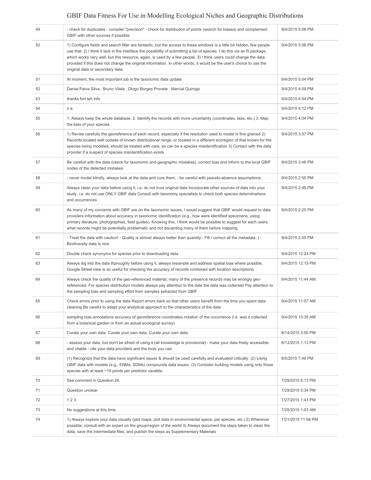| 49 | - check for duplicates - consider "precision" - check for distribution of points (search for biases) and complement<br>GBIF with other sources if possible                                                                                                                                                                                                                                                                                                                                                                           | 9/4/2015 5:08 PM   |
|----|--------------------------------------------------------------------------------------------------------------------------------------------------------------------------------------------------------------------------------------------------------------------------------------------------------------------------------------------------------------------------------------------------------------------------------------------------------------------------------------------------------------------------------------|--------------------|
| 50 | 1) Configure fields and search filter are fantastic, but the access to these windows is a little bit hidden, few people<br>use that. 2) I think it lack in the interface the possibility of submitting a list of species. I do this via an R package,<br>which works very well, but this resource, again, is used by a few people. 3) I think users could change the data<br>provided if this does not change the original information. In other words, it would be the user's choice to use the<br>original data or secondary data. | 9/4/2015 5:06 PM   |
| 51 | At moment, the most important job is the taxonomic data update                                                                                                                                                                                                                                                                                                                                                                                                                                                                       | 9/4/2015 5:04 PM   |
| 52 | Daniel Paiva Silva, Bruno Vilela, Diogo Borges Provete, Marcial Quiroga                                                                                                                                                                                                                                                                                                                                                                                                                                                              | 9/4/2015 4:59 PM   |
| 53 | thanks fort teh info                                                                                                                                                                                                                                                                                                                                                                                                                                                                                                                 | 9/4/2015 4:54 PM   |
| 54 | n.a                                                                                                                                                                                                                                                                                                                                                                                                                                                                                                                                  | 9/4/2015 4:12 PM   |
| 55 | 1. Always keep the whole database. 2. Identify the records with more uncertainty (coordinates, taxa, etc.) 3. Map<br>the bias of your species.                                                                                                                                                                                                                                                                                                                                                                                       | 9/4/2015 4:04 PM   |
| 56 | 1) Revise carefully the georeference of each record, especially if the resolution used to model is fine grained 2)<br>Records located well outside of known distributional range, or located in a different ecoregion of that known for the<br>species being modeled, should be treated with care, as can be a species misidentification 3) Contact with the data<br>provider if a suspect of species misidentification exists                                                                                                       | 9/4/2015 3:57 PM   |
| 57 | Be carefull with the data (ckeck for taxonomic and geographic mistakes), correct bias and inform to the local GBIF<br>nodes of the detected mistakes.                                                                                                                                                                                                                                                                                                                                                                                | 9/4/2015 3:48 PM   |
| 58 | - never model blindly, always look at the data and cure them; - be careful with pseudo-absence assumptions;                                                                                                                                                                                                                                                                                                                                                                                                                          | 9/4/2015 2:55 PM   |
| 59 | Always clean your data before using it, i.e. do not trust original data Incorporate other sources of data into your<br>study, i.e. do not use ONLY GBIF data Consult with taxonomy specialists to check both species determinations<br>and occurrences                                                                                                                                                                                                                                                                               | 9/4/2015 2:49 PM   |
| 60 | As many of my concerns with GBIF are on the taxonomic issues, I would suggest that GBIF would request to data<br>providers information about accuracy in taxonomic identification (e.g., how were identified specimens, using<br>primary literature, photographies, field guides). Knowing this, I think would be possible to suggest for each users<br>what records might be potentially problematic and not discarding many of them before mapping.                                                                                | 9/4/2015 2:25 PM   |
| 61 | - Treat the data with caution! - Quality is almost always better than quantity - Fill / correct all the metadata ;) -<br>Biodiversity data is nice                                                                                                                                                                                                                                                                                                                                                                                   | 9/4/2015 2:05 PM   |
| 62 | Double check synonyms for species prior to downloading data.                                                                                                                                                                                                                                                                                                                                                                                                                                                                         | 9/4/2015 12:24 PM  |
| 63 | Always dig into the data thproughly before using it, always resample and address spatial bias where possible,<br>Google Street view is so useful for checking the accuracy of records combined with location descriptions.                                                                                                                                                                                                                                                                                                           | 9/4/2015 12:15 PM  |
| 64 | Always check the quality of the geo-referenced material, many of the presence records may be wrongly geo-<br>referenced. For species distribution models always pay attention to the date the data was collected Pay attention to<br>the sampling bias and sampling effort from samples extracted from GBIF                                                                                                                                                                                                                          | 9/4/2015 11:44 AM  |
| 65 | Check errors prior to using the data Report errors back so that other users benefit from the time you spent data<br>cleaning Be careful to adapt your analytical approach to the characteristics of the data                                                                                                                                                                                                                                                                                                                         | 9/4/2015 11:07 AM  |
| 66 | sampling bias annotations accuracy of georeference coordinates notation of the occurrence (i.e. was it collected<br>from a botanical garden or from an actual ecological survey)                                                                                                                                                                                                                                                                                                                                                     | 9/4/2015 10:35 AM  |
| 67 | Curate your own data. Curate your own data. Curate your own data.                                                                                                                                                                                                                                                                                                                                                                                                                                                                    | 8/14/2015 3:50 PM  |
| 68 | - assess your data, but don't be afraid of using it (all knowledge is provisional) - make your data freely accessible<br>and citable - cite your data providers and the tools you use                                                                                                                                                                                                                                                                                                                                                | 8/13/2015 1:13 PM  |
| 69 | (1) Recognize that the data have significant issues & should be used carefully and evaluated critically. (2) Using<br>GBIF data with models (e.g., ENMs, SDMs) compounds data issues. (3) Consider building models using only those<br>species with at least ~10 points per predictor varaible.                                                                                                                                                                                                                                      | 8/5/2015 7:49 PM   |
| 70 | See comment in Question 26.                                                                                                                                                                                                                                                                                                                                                                                                                                                                                                          | 7/29/2015 6:13 PM  |
| 71 | Question unclear.                                                                                                                                                                                                                                                                                                                                                                                                                                                                                                                    | 7/29/2015 5:34 PM  |
| 72 | 123.                                                                                                                                                                                                                                                                                                                                                                                                                                                                                                                                 | 7/27/2015 1:41 PM  |
| 73 | No suggestions at this time.                                                                                                                                                                                                                                                                                                                                                                                                                                                                                                         | 7/25/2015 1:03 AM  |
| 74 | 1) Always explore your data visually (plot maps, plot data in environmental space, per species, etc.) 2) Whenever<br>possible, consult with an expert on the group/region of the world 3) Always document the steps taken to clean the<br>data, save the intermediate files, and publish the steps as Supplementary Materials                                                                                                                                                                                                        | 7/21/2015 11:58 PM |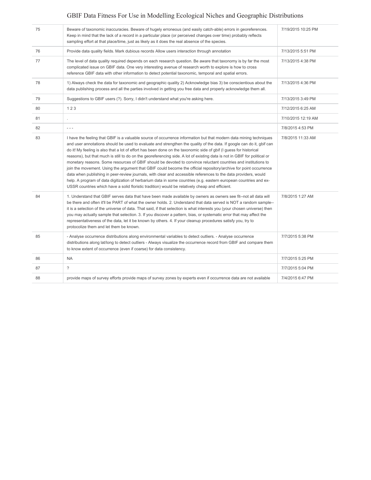| 75 | Beware of taxonomic inaccuracies. Beware of hugely erroneous (and easily catch-able) errors in georeferences.<br>Keep in mind that the lack of a record in a particular place (or perceived changes over time) probably reflects<br>sampling effort at that place/time, just as likely as it does the real absence of the species.                                                                                                                                                                                                                                                                                                                                                                                                                                                                                                                                                                                                                                                                                                                                               | 7/19/2015 10:25 PM |
|----|----------------------------------------------------------------------------------------------------------------------------------------------------------------------------------------------------------------------------------------------------------------------------------------------------------------------------------------------------------------------------------------------------------------------------------------------------------------------------------------------------------------------------------------------------------------------------------------------------------------------------------------------------------------------------------------------------------------------------------------------------------------------------------------------------------------------------------------------------------------------------------------------------------------------------------------------------------------------------------------------------------------------------------------------------------------------------------|--------------------|
| 76 | Provide data quality fields. Mark dubious records Allow users interaction through annotation                                                                                                                                                                                                                                                                                                                                                                                                                                                                                                                                                                                                                                                                                                                                                                                                                                                                                                                                                                                     | 7/13/2015 5:51 PM  |
| 77 | The level of data quality required depends on each research question. Be aware that taxonomy is by far the most<br>complicated issue on GBIF data. One very interesting avenue of research worth to explore is how to cross<br>reference GBIF data with other information to detect potential taxonomic, temporal and spatial errors.                                                                                                                                                                                                                                                                                                                                                                                                                                                                                                                                                                                                                                                                                                                                            | 7/13/2015 4:38 PM  |
| 78 | 1) Always check the data for taxonomic and geographic quality 2) Acknowledge bias 3) be conscientious about the<br>data publishing process and all the parties involved in getting you free data and properly acknowledge them all.                                                                                                                                                                                                                                                                                                                                                                                                                                                                                                                                                                                                                                                                                                                                                                                                                                              | 7/13/2015 4:36 PM  |
| 79 | Suggestions to GBIF users (?). Sorry, I didn't understand what you're asking here.                                                                                                                                                                                                                                                                                                                                                                                                                                                                                                                                                                                                                                                                                                                                                                                                                                                                                                                                                                                               | 7/13/2015 3:49 PM  |
| 80 | 123                                                                                                                                                                                                                                                                                                                                                                                                                                                                                                                                                                                                                                                                                                                                                                                                                                                                                                                                                                                                                                                                              | 7/12/2015 6:25 AM  |
| 81 |                                                                                                                                                                                                                                                                                                                                                                                                                                                                                                                                                                                                                                                                                                                                                                                                                                                                                                                                                                                                                                                                                  | 7/10/2015 12:19 AM |
| 82 | $- - -$                                                                                                                                                                                                                                                                                                                                                                                                                                                                                                                                                                                                                                                                                                                                                                                                                                                                                                                                                                                                                                                                          | 7/8/2015 4:53 PM   |
| 83 | I have the feeling that GBIF is a valuable source of occurrence information but that modern data mining techniques<br>and user annotations should be used to evaluate and strengthen the quality of the data. If google can do it, gbif can<br>do it! My feeling is also that a lot of effort has been done on the taxonomic side of gbif (I guess for historical<br>reasons), but that much is still to do on the georeferencing side. A lot of existing data is not in GBIF for political or<br>monetary reasons. Some resources of GBIF should be devoted to convince reluctant countries and institutions to<br>join the movement. Using the argument that GBIF could become the official repository/archive for point occurrence<br>data when publishing in peer-review journals, with clear and accessible references to the data providers, would<br>help. A program of data digitization of herbarium data in some countries (e.g. eastern european countries and ex-<br>USSR countries which have a solid floristic tradition) would be relatively cheap and efficient. | 7/8/2015 11:33 AM  |
| 84 | 1. Understand that GBIF serves data that have been made available by owners as owners see fit--not all data will<br>be there and often it'll be PART of what the owner holds. 2. Understand that data served is NOT a random sample--<br>it is a selection of the universe of data. That said, if that selection is what interests you (your chosen universe) then<br>you may actually sample that selection. 3. If you discover a pattern, bias, or systematic error that may affect the<br>representativeness of the data, let it be known by others. 4. If your cleanup procedures satisfy you, try to<br>protocolize them and let them be known.                                                                                                                                                                                                                                                                                                                                                                                                                             | 7/8/2015 1:27 AM   |
| 85 | - Analyse occurrence distributions along environmental variables to detect outliers. - Analyse occurrence<br>distributions along lat/long to detect outliers - Always visualize the occurrence record from GBIF and compare them<br>to know extent of occurrence (even if coarse) for data consistency.                                                                                                                                                                                                                                                                                                                                                                                                                                                                                                                                                                                                                                                                                                                                                                          | 7/7/2015 5:38 PM   |
| 86 | <b>NA</b>                                                                                                                                                                                                                                                                                                                                                                                                                                                                                                                                                                                                                                                                                                                                                                                                                                                                                                                                                                                                                                                                        | 7/7/2015 5:25 PM   |
| 87 | $\gamma$                                                                                                                                                                                                                                                                                                                                                                                                                                                                                                                                                                                                                                                                                                                                                                                                                                                                                                                                                                                                                                                                         | 7/7/2015 5:04 PM   |
| 88 | provide maps of survey efforts provide maps of survey zones by experts even if occurrence data are not available                                                                                                                                                                                                                                                                                                                                                                                                                                                                                                                                                                                                                                                                                                                                                                                                                                                                                                                                                                 | 7/4/2015 6:47 PM   |